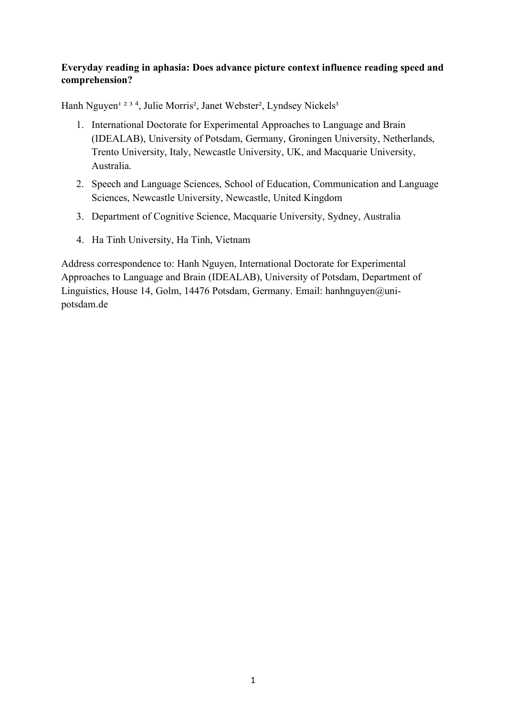### **Everyday reading in aphasia: Does advance picture context influence reading speed and comprehension?**

Hanh Nguyen<sup>1 2 3 4</sup>, Julie Morris<sup>2</sup>, Janet Webster<sup>2</sup>, Lyndsey Nickels<sup>3</sup>

- 1. International Doctorate for Experimental Approaches to Language and Brain (IDEALAB), University of Potsdam, Germany, Groningen University, Netherlands, Trento University, Italy, Newcastle University, UK, and Macquarie University, Australia.
- 2. Speech and Language Sciences, School of Education, Communication and Language Sciences, Newcastle University, Newcastle, United Kingdom
- 3. Department of Cognitive Science, Macquarie University, Sydney, Australia
- 4. Ha Tinh University, Ha Tinh, Vietnam

Address correspondence to: Hanh Nguyen, International Doctorate for Experimental Approaches to Language and Brain (IDEALAB), University of Potsdam, Department of Linguistics, House 14, Golm, 14476 Potsdam, Germany. Email: hanhnguyen@unipotsdam.de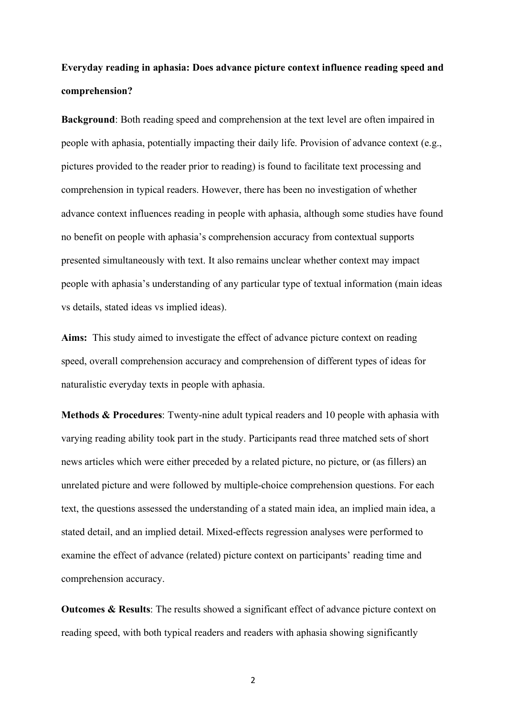### **Everyday reading in aphasia: Does advance picture context influence reading speed and comprehension?**

**Background**: Both reading speed and comprehension at the text level are often impaired in people with aphasia, potentially impacting their daily life. Provision of advance context (e.g., pictures provided to the reader prior to reading) is found to facilitate text processing and comprehension in typical readers. However, there has been no investigation of whether advance context influences reading in people with aphasia, although some studies have found no benefit on people with aphasia's comprehension accuracy from contextual supports presented simultaneously with text. It also remains unclear whether context may impact people with aphasia's understanding of any particular type of textual information (main ideas vs details, stated ideas vs implied ideas).

**Aims:** This study aimed to investigate the effect of advance picture context on reading speed, overall comprehension accuracy and comprehension of different types of ideas for naturalistic everyday texts in people with aphasia.

**Methods & Procedures**: Twenty-nine adult typical readers and 10 people with aphasia with varying reading ability took part in the study. Participants read three matched sets of short news articles which were either preceded by a related picture, no picture, or (as fillers) an unrelated picture and were followed by multiple-choice comprehension questions. For each text, the questions assessed the understanding of a stated main idea, an implied main idea, a stated detail, and an implied detail. Mixed-effects regression analyses were performed to examine the effect of advance (related) picture context on participants' reading time and comprehension accuracy.

**Outcomes & Results**: The results showed a significant effect of advance picture context on reading speed, with both typical readers and readers with aphasia showing significantly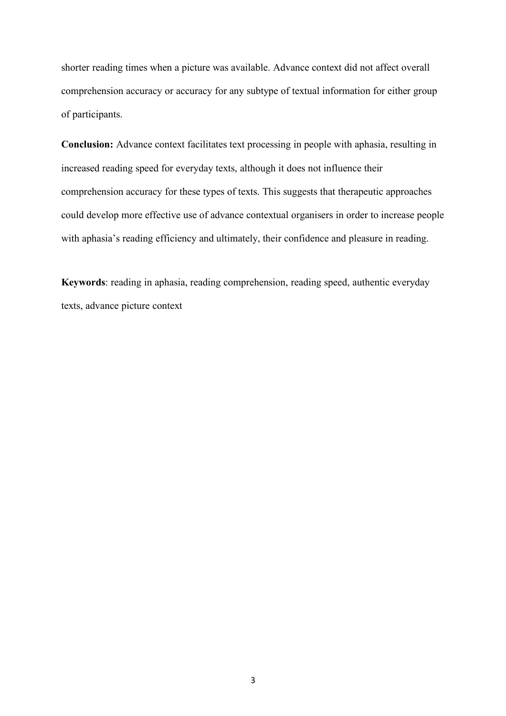shorter reading times when a picture was available. Advance context did not affect overall comprehension accuracy or accuracy for any subtype of textual information for either group of participants.

**Conclusion:** Advance context facilitates text processing in people with aphasia, resulting in increased reading speed for everyday texts, although it does not influence their comprehension accuracy for these types of texts. This suggests that therapeutic approaches could develop more effective use of advance contextual organisers in order to increase people with aphasia's reading efficiency and ultimately, their confidence and pleasure in reading.

**Keywords**: reading in aphasia, reading comprehension, reading speed, authentic everyday texts, advance picture context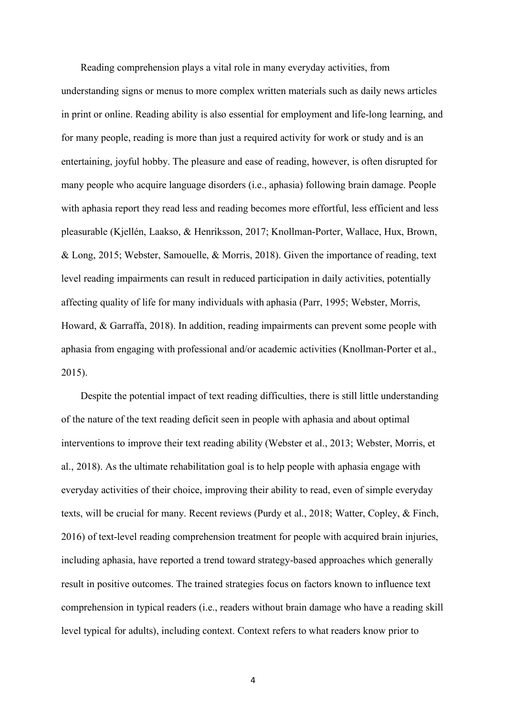Reading comprehension plays a vital role in many everyday activities, from understanding signs or menus to more complex written materials such as daily news articles in print or online. Reading ability is also essential for employment and life-long learning, and for many people, reading is more than just a required activity for work or study and is an entertaining, joyful hobby. The pleasure and ease of reading, however, is often disrupted for many people who acquire language disorders (i.e., aphasia) following brain damage. People with aphasia report they read less and reading becomes more effortful, less efficient and less pleasurable (Kjellén, Laakso, & Henriksson, 2017; Knollman-Porter, Wallace, Hux, Brown, & Long, 2015; Webster, Samouelle, & Morris, 2018). Given the importance of reading, text level reading impairments can result in reduced participation in daily activities, potentially affecting quality of life for many individuals with aphasia (Parr, 1995; Webster, Morris, Howard, & Garraffa, 2018). In addition, reading impairments can prevent some people with aphasia from engaging with professional and/or academic activities (Knollman-Porter et al., 2015).

Despite the potential impact of text reading difficulties, there is still little understanding of the nature of the text reading deficit seen in people with aphasia and about optimal interventions to improve their text reading ability (Webster et al., 2013; Webster, Morris, et al., 2018). As the ultimate rehabilitation goal is to help people with aphasia engage with everyday activities of their choice, improving their ability to read, even of simple everyday texts, will be crucial for many. Recent reviews (Purdy et al., 2018; Watter, Copley, & Finch, 2016) of text-level reading comprehension treatment for people with acquired brain injuries, including aphasia, have reported a trend toward strategy-based approaches which generally result in positive outcomes. The trained strategies focus on factors known to influence text comprehension in typical readers (i.e., readers without brain damage who have a reading skill level typical for adults), including context. Context refers to what readers know prior to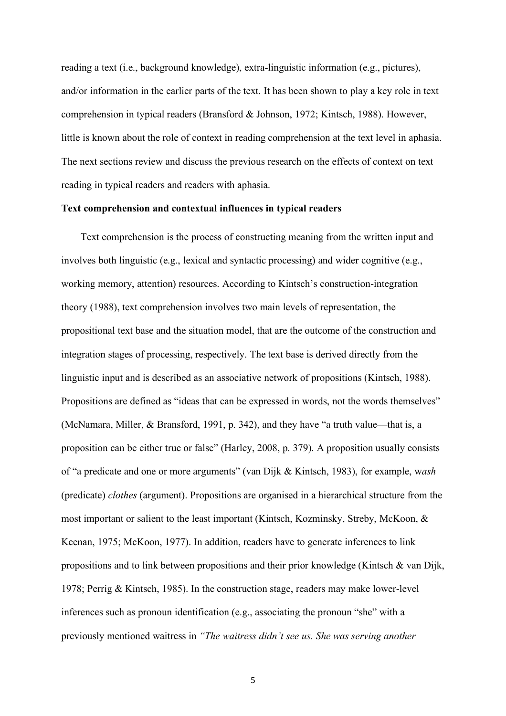reading a text (i.e., background knowledge), extra-linguistic information (e.g., pictures), and/or information in the earlier parts of the text. It has been shown to play a key role in text comprehension in typical readers (Bransford & Johnson, 1972; Kintsch, 1988). However, little is known about the role of context in reading comprehension at the text level in aphasia. The next sections review and discuss the previous research on the effects of context on text reading in typical readers and readers with aphasia.

#### **Text comprehension and contextual influences in typical readers**

Text comprehension is the process of constructing meaning from the written input and involves both linguistic (e.g., lexical and syntactic processing) and wider cognitive (e.g., working memory, attention) resources. According to Kintsch's construction-integration theory (1988), text comprehension involves two main levels of representation, the propositional text base and the situation model, that are the outcome of the construction and integration stages of processing, respectively. The text base is derived directly from the linguistic input and is described as an associative network of propositions (Kintsch, 1988). Propositions are defined as "ideas that can be expressed in words, not the words themselves" (McNamara, Miller, & Bransford, 1991, p. 342), and they have "a truth value—that is, a proposition can be either true or false" (Harley, 2008, p. 379). A proposition usually consists of "a predicate and one or more arguments" (van Dijk & Kintsch, 1983), for example, w*ash*  (predicate) *clothes* (argument). Propositions are organised in a hierarchical structure from the most important or salient to the least important (Kintsch, Kozminsky, Streby, McKoon, & Keenan, 1975; McKoon, 1977). In addition, readers have to generate inferences to link propositions and to link between propositions and their prior knowledge (Kintsch  $\&$  van Dijk, 1978; Perrig & Kintsch, 1985). In the construction stage, readers may make lower-level inferences such as pronoun identification (e.g., associating the pronoun "she" with a previously mentioned waitress in *"The waitress didn't see us. She was serving another*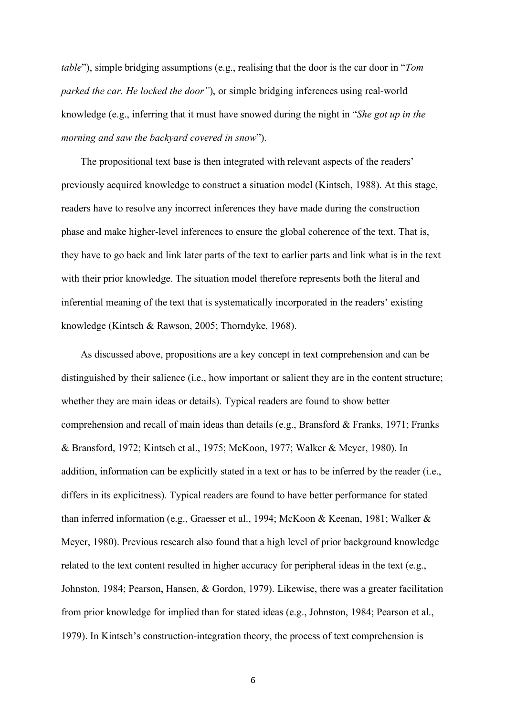*table*"), simple bridging assumptions (e.g., realising that the door is the car door in "*Tom parked the car. He locked the door"*), or simple bridging inferences using real-world knowledge (e.g., inferring that it must have snowed during the night in "*She got up in the morning and saw the backyard covered in snow*").

The propositional text base is then integrated with relevant aspects of the readers' previously acquired knowledge to construct a situation model (Kintsch, 1988). At this stage, readers have to resolve any incorrect inferences they have made during the construction phase and make higher-level inferences to ensure the global coherence of the text. That is, they have to go back and link later parts of the text to earlier parts and link what is in the text with their prior knowledge. The situation model therefore represents both the literal and inferential meaning of the text that is systematically incorporated in the readers' existing knowledge (Kintsch & Rawson, 2005; Thorndyke, 1968).

As discussed above, propositions are a key concept in text comprehension and can be distinguished by their salience (i.e., how important or salient they are in the content structure; whether they are main ideas or details). Typical readers are found to show better comprehension and recall of main ideas than details (e.g., Bransford & Franks, 1971; Franks & Bransford, 1972; Kintsch et al., 1975; McKoon, 1977; Walker & Meyer, 1980). In addition, information can be explicitly stated in a text or has to be inferred by the reader (i.e., differs in its explicitness). Typical readers are found to have better performance for stated than inferred information (e.g., Graesser et al., 1994; McKoon & Keenan, 1981; Walker & Meyer, 1980). Previous research also found that a high level of prior background knowledge related to the text content resulted in higher accuracy for peripheral ideas in the text (e.g., Johnston, 1984; Pearson, Hansen, & Gordon, 1979). Likewise, there was a greater facilitation from prior knowledge for implied than for stated ideas (e.g., Johnston, 1984; Pearson et al., 1979). In Kintsch's construction-integration theory, the process of text comprehension is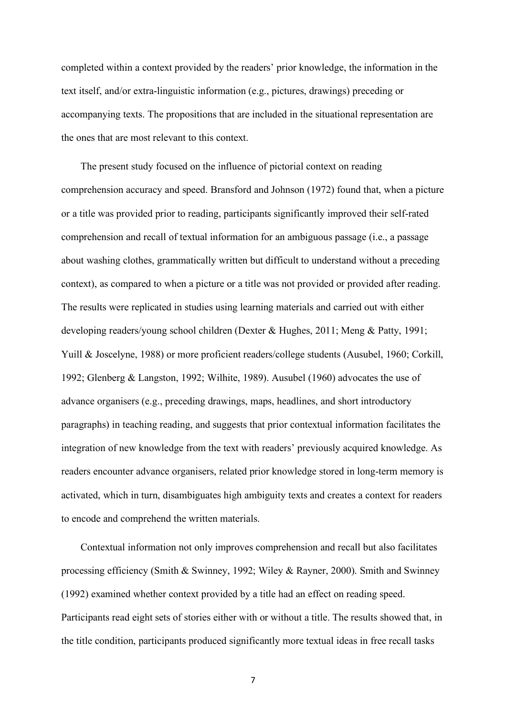completed within a context provided by the readers' prior knowledge, the information in the text itself, and/or extra-linguistic information (e.g., pictures, drawings) preceding or accompanying texts. The propositions that are included in the situational representation are the ones that are most relevant to this context.

The present study focused on the influence of pictorial context on reading comprehension accuracy and speed. Bransford and Johnson (1972) found that, when a picture or a title was provided prior to reading, participants significantly improved their self-rated comprehension and recall of textual information for an ambiguous passage (i.e., a passage about washing clothes, grammatically written but difficult to understand without a preceding context), as compared to when a picture or a title was not provided or provided after reading. The results were replicated in studies using learning materials and carried out with either developing readers/young school children (Dexter & Hughes, 2011; Meng & Patty, 1991; Yuill & Joscelyne, 1988) or more proficient readers/college students (Ausubel, 1960; Corkill, 1992; Glenberg & Langston, 1992; Wilhite, 1989). Ausubel (1960) advocates the use of advance organisers (e.g., preceding drawings, maps, headlines, and short introductory paragraphs) in teaching reading, and suggests that prior contextual information facilitates the integration of new knowledge from the text with readers' previously acquired knowledge. As readers encounter advance organisers, related prior knowledge stored in long-term memory is activated, which in turn, disambiguates high ambiguity texts and creates a context for readers to encode and comprehend the written materials.

Contextual information not only improves comprehension and recall but also facilitates processing efficiency (Smith & Swinney, 1992; Wiley & Rayner, 2000). Smith and Swinney (1992) examined whether context provided by a title had an effect on reading speed. Participants read eight sets of stories either with or without a title. The results showed that, in the title condition, participants produced significantly more textual ideas in free recall tasks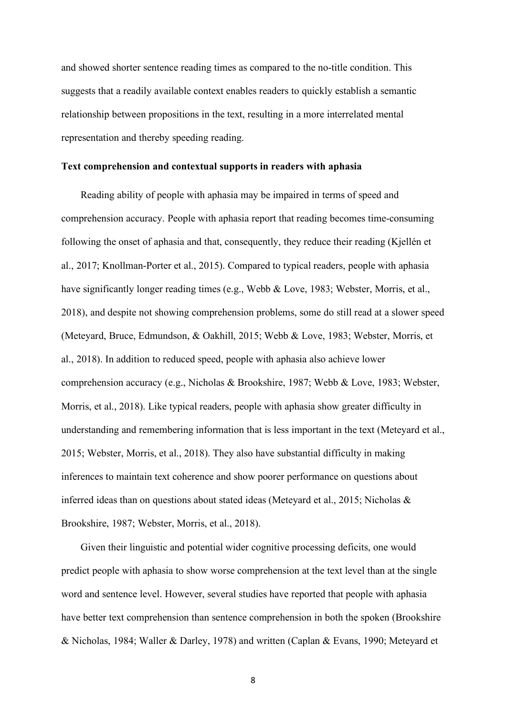and showed shorter sentence reading times as compared to the no-title condition. This suggests that a readily available context enables readers to quickly establish a semantic relationship between propositions in the text, resulting in a more interrelated mental representation and thereby speeding reading.

#### **Text comprehension and contextual supports in readers with aphasia**

Reading ability of people with aphasia may be impaired in terms of speed and comprehension accuracy. People with aphasia report that reading becomes time-consuming following the onset of aphasia and that, consequently, they reduce their reading (Kjellén et al., 2017; Knollman-Porter et al., 2015). Compared to typical readers, people with aphasia have significantly longer reading times (e.g., Webb & Love, 1983; Webster, Morris, et al., 2018), and despite not showing comprehension problems, some do still read at a slower speed (Meteyard, Bruce, Edmundson, & Oakhill, 2015; Webb & Love, 1983; Webster, Morris, et al., 2018). In addition to reduced speed, people with aphasia also achieve lower comprehension accuracy (e.g., Nicholas & Brookshire, 1987; Webb & Love, 1983; Webster, Morris, et al., 2018). Like typical readers, people with aphasia show greater difficulty in understanding and remembering information that is less important in the text (Meteyard et al., 2015; Webster, Morris, et al., 2018). They also have substantial difficulty in making inferences to maintain text coherence and show poorer performance on questions about inferred ideas than on questions about stated ideas (Meteyard et al., 2015; Nicholas & Brookshire, 1987; Webster, Morris, et al., 2018).

Given their linguistic and potential wider cognitive processing deficits, one would predict people with aphasia to show worse comprehension at the text level than at the single word and sentence level. However, several studies have reported that people with aphasia have better text comprehension than sentence comprehension in both the spoken (Brookshire & Nicholas, 1984; Waller & Darley, 1978) and written (Caplan & Evans, 1990; Meteyard et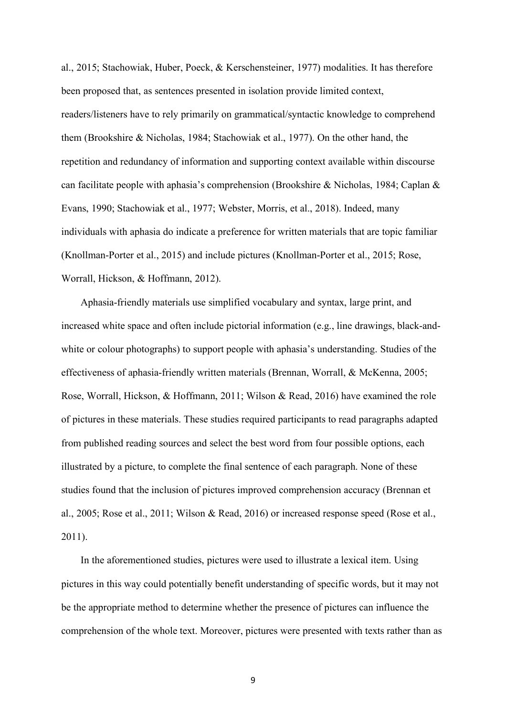al., 2015; Stachowiak, Huber, Poeck, & Kerschensteiner, 1977) modalities. It has therefore been proposed that, as sentences presented in isolation provide limited context, readers/listeners have to rely primarily on grammatical/syntactic knowledge to comprehend them (Brookshire & Nicholas, 1984; Stachowiak et al., 1977). On the other hand, the repetition and redundancy of information and supporting context available within discourse can facilitate people with aphasia's comprehension (Brookshire & Nicholas, 1984; Caplan & Evans, 1990; Stachowiak et al., 1977; Webster, Morris, et al., 2018). Indeed, many individuals with aphasia do indicate a preference for written materials that are topic familiar (Knollman-Porter et al., 2015) and include pictures (Knollman-Porter et al., 2015; Rose, Worrall, Hickson, & Hoffmann, 2012).

Aphasia-friendly materials use simplified vocabulary and syntax, large print, and increased white space and often include pictorial information (e.g., line drawings, black-andwhite or colour photographs) to support people with aphasia's understanding. Studies of the effectiveness of aphasia-friendly written materials (Brennan, Worrall, & McKenna, 2005; Rose, Worrall, Hickson, & Hoffmann, 2011; Wilson & Read, 2016) have examined the role of pictures in these materials. These studies required participants to read paragraphs adapted from published reading sources and select the best word from four possible options, each illustrated by a picture, to complete the final sentence of each paragraph. None of these studies found that the inclusion of pictures improved comprehension accuracy (Brennan et al., 2005; Rose et al., 2011; Wilson & Read, 2016) or increased response speed (Rose et al., 2011).

In the aforementioned studies, pictures were used to illustrate a lexical item. Using pictures in this way could potentially benefit understanding of specific words, but it may not be the appropriate method to determine whether the presence of pictures can influence the comprehension of the whole text. Moreover, pictures were presented with texts rather than as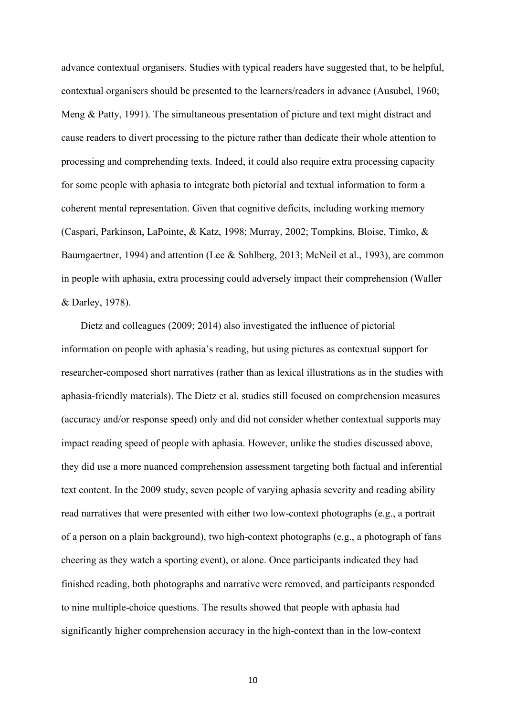advance contextual organisers. Studies with typical readers have suggested that, to be helpful, contextual organisers should be presented to the learners/readers in advance (Ausubel, 1960; Meng & Patty, 1991). The simultaneous presentation of picture and text might distract and cause readers to divert processing to the picture rather than dedicate their whole attention to processing and comprehending texts. Indeed, it could also require extra processing capacity for some people with aphasia to integrate both pictorial and textual information to form a coherent mental representation. Given that cognitive deficits, including working memory (Caspari, Parkinson, LaPointe, & Katz, 1998; Murray, 2002; Tompkins, Bloise, Timko, & Baumgaertner, 1994) and attention (Lee & Sohlberg, 2013; McNeil et al., 1993), are common in people with aphasia, extra processing could adversely impact their comprehension (Waller & Darley, 1978).

Dietz and colleagues (2009; 2014) also investigated the influence of pictorial information on people with aphasia's reading, but using pictures as contextual support for researcher-composed short narratives (rather than as lexical illustrations as in the studies with aphasia-friendly materials). The Dietz et al. studies still focused on comprehension measures (accuracy and/or response speed) only and did not consider whether contextual supports may impact reading speed of people with aphasia. However, unlike the studies discussed above, they did use a more nuanced comprehension assessment targeting both factual and inferential text content. In the 2009 study, seven people of varying aphasia severity and reading ability read narratives that were presented with either two low-context photographs (e.g., a portrait of a person on a plain background), two high-context photographs (e.g., a photograph of fans cheering as they watch a sporting event), or alone. Once participants indicated they had finished reading, both photographs and narrative were removed, and participants responded to nine multiple-choice questions. The results showed that people with aphasia had significantly higher comprehension accuracy in the high-context than in the low-context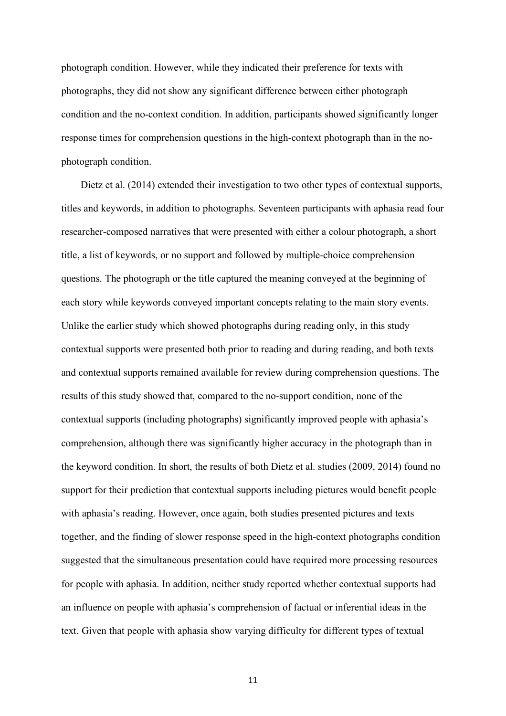photograph condition. However, while they indicated their preference for texts with photographs, they did not show any significant difference between either photograph condition and the no-context condition. In addition, participants showed significantly longer response times for comprehension questions in the high-context photograph than in the nophotograph condition.

Dietz et al. (2014) extended their investigation to two other types of contextual supports, titles and keywords, in addition to photographs. Seventeen participants with aphasia read four researcher-composed narratives that were presented with either a colour photograph, a short title, a list of keywords, or no support and followed by multiple-choice comprehension questions. The photograph or the title captured the meaning conveyed at the beginning of each story while keywords conveyed important concepts relating to the main story events. Unlike the earlier study which showed photographs during reading only, in this study contextual supports were presented both prior to reading and during reading, and both texts and contextual supports remained available for review during comprehension questions. The results of this study showed that, compared to the no-support condition, none of the contextual supports (including photographs) significantly improved people with aphasia's comprehension, although there was significantly higher accuracy in the photograph than in the keyword condition. In short, the results of both Dietz et al. studies (2009, 2014) found no support for their prediction that contextual supports including pictures would benefit people with aphasia's reading. However, once again, both studies presented pictures and texts together, and the finding of slower response speed in the high-context photographs condition suggested that the simultaneous presentation could have required more processing resources for people with aphasia. In addition, neither study reported whether contextual supports had an influence on people with aphasia's comprehension of factual or inferential ideas in the text. Given that people with aphasia show varying difficulty for different types of textual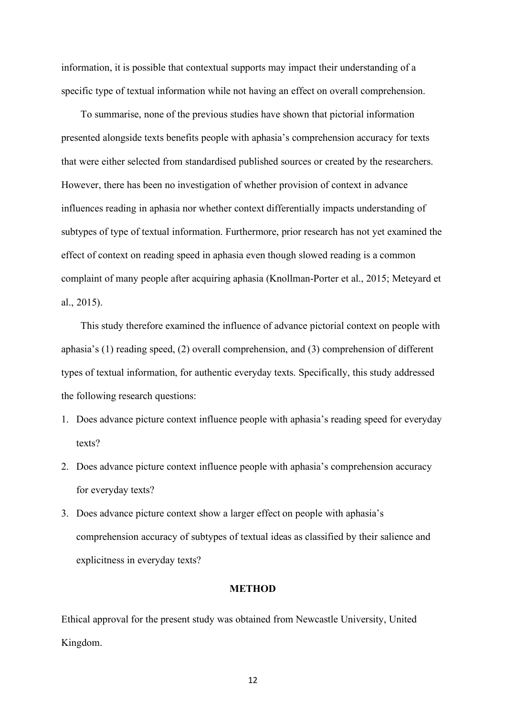information, it is possible that contextual supports may impact their understanding of a specific type of textual information while not having an effect on overall comprehension.

To summarise, none of the previous studies have shown that pictorial information presented alongside texts benefits people with aphasia's comprehension accuracy for texts that were either selected from standardised published sources or created by the researchers. However, there has been no investigation of whether provision of context in advance influences reading in aphasia nor whether context differentially impacts understanding of subtypes of type of textual information. Furthermore, prior research has not yet examined the effect of context on reading speed in aphasia even though slowed reading is a common complaint of many people after acquiring aphasia (Knollman-Porter et al., 2015; Meteyard et al., 2015).

This study therefore examined the influence of advance pictorial context on people with aphasia's (1) reading speed, (2) overall comprehension, and (3) comprehension of different types of textual information, for authentic everyday texts. Specifically, this study addressed the following research questions:

- 1. Does advance picture context influence people with aphasia's reading speed for everyday texts?
- 2. Does advance picture context influence people with aphasia's comprehension accuracy for everyday texts?
- 3. Does advance picture context show a larger effect on people with aphasia's comprehension accuracy of subtypes of textual ideas as classified by their salience and explicitness in everyday texts?

#### **METHOD**

Ethical approval for the present study was obtained from Newcastle University, United Kingdom.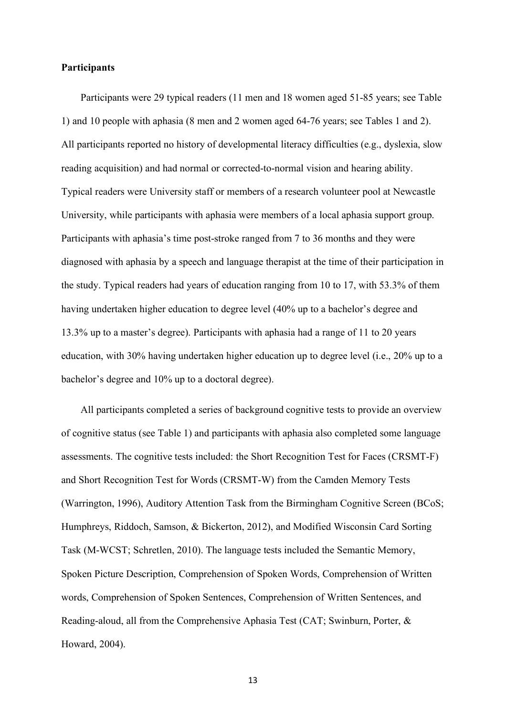#### **Participants**

Participants were 29 typical readers (11 men and 18 women aged 51-85 years; see Table 1) and 10 people with aphasia (8 men and 2 women aged 64-76 years; see Tables 1 and 2). All participants reported no history of developmental literacy difficulties (e.g., dyslexia, slow reading acquisition) and had normal or corrected-to-normal vision and hearing ability. Typical readers were University staff or members of a research volunteer pool at Newcastle University, while participants with aphasia were members of a local aphasia support group. Participants with aphasia's time post-stroke ranged from 7 to 36 months and they were diagnosed with aphasia by a speech and language therapist at the time of their participation in the study. Typical readers had years of education ranging from 10 to 17, with 53.3% of them having undertaken higher education to degree level (40% up to a bachelor's degree and 13.3% up to a master's degree). Participants with aphasia had a range of 11 to 20 years education, with 30% having undertaken higher education up to degree level (i.e., 20% up to a bachelor's degree and 10% up to a doctoral degree).

All participants completed a series of background cognitive tests to provide an overview of cognitive status (see Table 1) and participants with aphasia also completed some language assessments. The cognitive tests included: the Short Recognition Test for Faces (CRSMT-F) and Short Recognition Test for Words (CRSMT-W) from the Camden Memory Tests (Warrington, 1996), Auditory Attention Task from the Birmingham Cognitive Screen (BCoS; Humphreys, Riddoch, Samson, & Bickerton, 2012), and Modified Wisconsin Card Sorting Task (M-WCST; Schretlen, 2010). The language tests included the Semantic Memory, Spoken Picture Description, Comprehension of Spoken Words, Comprehension of Written words, Comprehension of Spoken Sentences, Comprehension of Written Sentences, and Reading-aloud, all from the Comprehensive Aphasia Test (CAT; Swinburn, Porter, & Howard, 2004).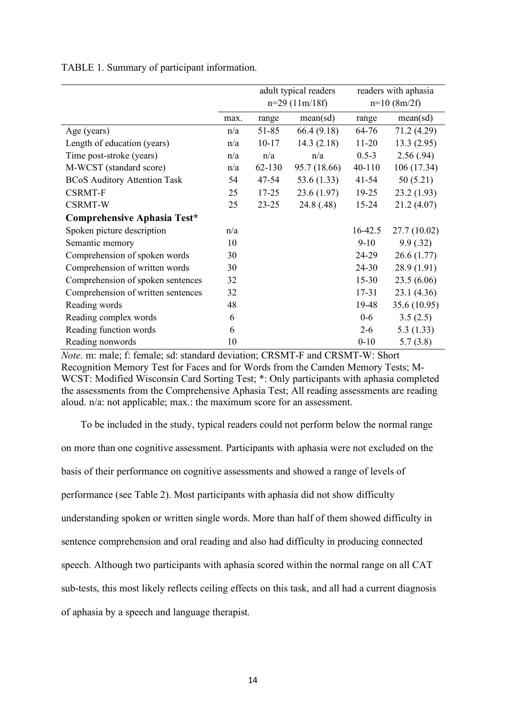|                                     |      |            | adult typical readers | readers with aphasia |              |  |
|-------------------------------------|------|------------|-----------------------|----------------------|--------------|--|
|                                     |      |            | $n=29$ (11m/18f)      | $n=10$ (8m/2f)       |              |  |
|                                     | max. | range      | mean(sd)              | range                | mean(sd)     |  |
| Age (years)                         | n/a  | 51-85      | 66.4(9.18)            | 64-76                | 71.2 (4.29)  |  |
| Length of education (years)         | n/a  | $10 - 17$  | 14.3(2.18)            | $11 - 20$            | 13.3(2.95)   |  |
| Time post-stroke (years)            | n/a  | n/a        | n/a                   | $0.5 - 3$            | 2.56(.94)    |  |
| M-WCST (standard score)             | n/a  | $62 - 130$ | 95.7 (18.66)          | 40-110               | 106(17.34)   |  |
| <b>BCoS Auditory Attention Task</b> | 54   | 47-54      | 53.6 $(1.33)$         | $41 - 54$            | 50(5.21)     |  |
| <b>CSRMT-F</b>                      | 25   | $17 - 25$  | 23.6(1.97)            | $19 - 25$            | 23.2(1.93)   |  |
| <b>CSRMT-W</b>                      | 25   | $23 - 25$  | 24.8 (.48)            | $15 - 24$            | 21.2(4.07)   |  |
| Comprehensive Aphasia Test*         |      |            |                       |                      |              |  |
| Spoken picture description          | n/a  |            |                       | $16 - 42.5$          | 27.7(10.02)  |  |
| Semantic memory                     | 10   |            |                       | $9 - 10$             | 9.9(.32)     |  |
| Comprehension of spoken words       | 30   |            |                       | 24-29                | 26.6(1.77)   |  |
| Comprehension of written words      | 30   |            |                       | $24 - 30$            | 28.9(1.91)   |  |
| Comprehension of spoken sentences   | 32   |            |                       | $15 - 30$            | 23.5(6.06)   |  |
| Comprehension of written sentences  | 32   |            |                       | $17 - 31$            | 23.1(4.36)   |  |
| Reading words                       | 48   |            |                       | 19-48                | 35.6 (10.95) |  |
| Reading complex words               | 6    |            |                       | $0-6$                | 3.5(2.5)     |  |
| Reading function words              | 6    |            |                       | $2 - 6$              | 5.3(1.33)    |  |
| Reading nonwords                    | 10   |            |                       | $0 - 10$             | 5.7(3.8)     |  |

TABLE 1. Summary of participant information.

*Note*. m: male; f: female; sd: standard deviation; CRSMT-F and CRSMT-W: Short Recognition Memory Test for Faces and for Words from the Camden Memory Tests; M-WCST: Modified Wisconsin Card Sorting Test; \*: Only participants with aphasia completed the assessments from the Comprehensive Aphasia Test; All reading assessments are reading aloud. n/a: not applicable; max.: the maximum score for an assessment.

To be included in the study, typical readers could not perform below the normal range on more than one cognitive assessment. Participants with aphasia were not excluded on the basis of their performance on cognitive assessments and showed a range of levels of performance (see Table 2). Most participants with aphasia did not show difficulty understanding spoken or written single words. More than half of them showed difficulty in sentence comprehension and oral reading and also had difficulty in producing connected speech. Although two participants with aphasia scored within the normal range on all CAT sub-tests, this most likely reflects ceiling effects on this task, and all had a current diagnosis of aphasia by a speech and language therapist.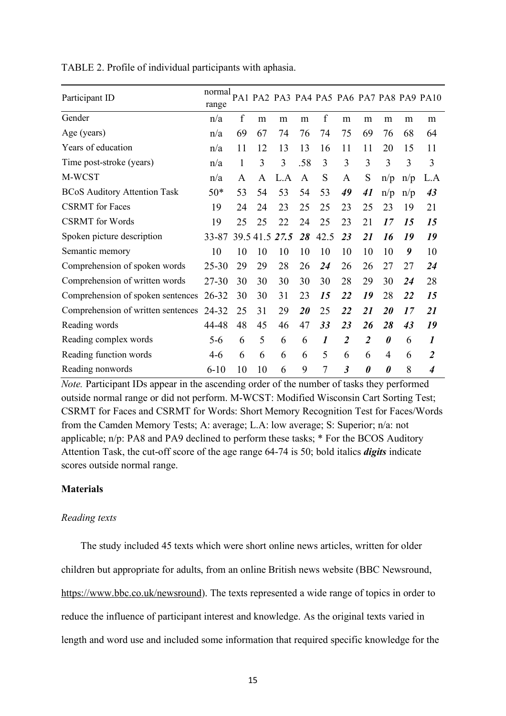| Participant ID                      | normal<br>range |    |          |      |              |                  |                |                       |                       |     | PA1 PA2 PA3 PA4 PA5 PA6 PA7 PA8 PA9 PA10 |
|-------------------------------------|-----------------|----|----------|------|--------------|------------------|----------------|-----------------------|-----------------------|-----|------------------------------------------|
| Gender                              | n/a             | f  | m        | m    | m            | f                | m              | m                     | m                     | m   | m                                        |
| Age (years)                         | n/a             | 69 | 67       | 74   | 76           | 74               | 75             | 69                    | 76                    | 68  | 64                                       |
| Years of education                  | n/a             | 11 | 12       | 13   | 13           | 16               | 11             | 11                    | 20                    | 15  | 11                                       |
| Time post-stroke (years)            | n/a             | 1  | 3        | 3    | .58          | 3                | 3              | 3                     | 3                     | 3   | 3                                        |
| M-WCST                              | n/a             | A  | A        | L.A  | $\mathbf{A}$ | S                | A              | S                     | n/p                   | n/p | L.A                                      |
| <b>BCoS Auditory Attention Task</b> | $50*$           | 53 | 54       | 53   | 54           | 53               | 49             | 41                    | n/p                   | n/p | 43                                       |
| <b>CSRMT</b> for Faces              | 19              | 24 | 24       | 23   | 25           | 25               | 23             | 25                    | 23                    | 19  | 21                                       |
| <b>CSRMT</b> for Words              | 19              | 25 | 25       | 22   | 24           | 25               | 23             | 21                    | 17                    | 15  | 15                                       |
| Spoken picture description          | 33-87           |    | 39.541.5 | 27.5 | 28           | 42.5             | 23             | 21                    | 16                    | 19  | 19                                       |
| Semantic memory                     | 10              | 10 | 10       | 10   | 10           | 10               | 10             | 10                    | 10                    | 9   | 10                                       |
| Comprehension of spoken words       | $25 - 30$       | 29 | 29       | 28   | 26           | 24               | 26             | 26                    | 27                    | 27  | 24                                       |
| Comprehension of written words      | 27-30           | 30 | 30       | 30   | 30           | 30               | 28             | 29                    | 30                    | 24  | 28                                       |
| Comprehension of spoken sentences   | $26 - 32$       | 30 | 30       | 31   | 23           | 15               | 22             | 19                    | 28                    | 22  | 15                                       |
| Comprehension of written sentences  | 24-32           | 25 | 31       | 29   | 20           | 25               | 22             | 21                    | 20                    | 17  | 21                                       |
| Reading words                       | 44-48           | 48 | 45       | 46   | 47           | 33               | 23             | 26                    | 28                    | 43  | 19                                       |
| Reading complex words               | $5 - 6$         | 6  | 5        | 6    | 6            | $\boldsymbol{l}$ | $\overline{2}$ | $\overline{2}$        | $\boldsymbol{\theta}$ | 6   | 1                                        |
| Reading function words              | 4-6             | 6  | 6        | 6    | 6            | 5                | 6              | 6                     | 4                     | 6   | $\overline{2}$                           |
| Reading nonwords                    | $6 - 10$        | 10 | 10       | 6    | 9            | 7                | $\mathfrak{Z}$ | $\boldsymbol{\theta}$ | 0                     | 8   | $\boldsymbol{4}$                         |

TABLE 2. Profile of individual participants with aphasia.

*Note.* Participant IDs appear in the ascending order of the number of tasks they performed outside normal range or did not perform. M-WCST: Modified Wisconsin Cart Sorting Test; CSRMT for Faces and CSRMT for Words: Short Memory Recognition Test for Faces/Words from the Camden Memory Tests; A: average; L.A: low average; S: Superior; n/a: not applicable; n/p: PA8 and PA9 declined to perform these tasks; \* For the BCOS Auditory Attention Task, the cut-off score of the age range 64-74 is 50; bold italics *digits* indicate scores outside normal range.

#### **Materials**

#### *Reading texts*

The study included 45 texts which were short online news articles, written for older children but appropriate for adults, from an online British news website (BBC Newsround, https://www.bbc.co.uk/newsround). The texts represented a wide range of topics in order to reduce the influence of participant interest and knowledge. As the original texts varied in length and word use and included some information that required specific knowledge for the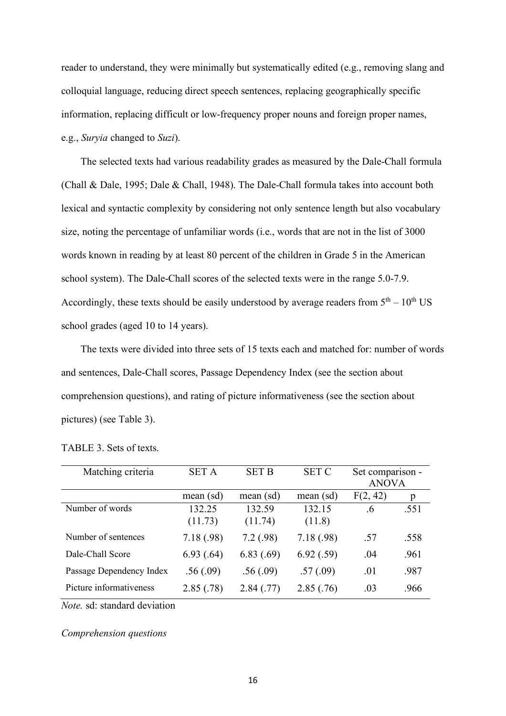reader to understand, they were minimally but systematically edited (e.g., removing slang and colloquial language, reducing direct speech sentences, replacing geographically specific information, replacing difficult or low-frequency proper nouns and foreign proper names, e.g., *Suryia* changed to *Suzi*).

The selected texts had various readability grades as measured by the Dale-Chall formula (Chall & Dale, 1995; Dale & Chall, 1948). The Dale-Chall formula takes into account both lexical and syntactic complexity by considering not only sentence length but also vocabulary size, noting the percentage of unfamiliar words (i.e., words that are not in the list of 3000 words known in reading by at least 80 percent of the children in Grade 5 in the American school system). The Dale-Chall scores of the selected texts were in the range 5.0-7.9. Accordingly, these texts should be easily understood by average readers from  $5<sup>th</sup> - 10<sup>th</sup>$  US school grades (aged 10 to 14 years).

The texts were divided into three sets of 15 texts each and matched for: number of words and sentences, Dale-Chall scores, Passage Dependency Index (see the section about comprehension questions), and rating of picture informativeness (see the section about pictures) (see Table 3).

| Matching criteria        | <b>SET A</b> | <b>SET B</b> | <b>SET C</b> | Set comparison - |      |
|--------------------------|--------------|--------------|--------------|------------------|------|
|                          |              |              |              | <b>ANOVA</b>     |      |
|                          | mean (sd)    | mean (sd)    | mean (sd)    | F(2, 42)         | p    |
| Number of words          | 132.25       | 132.59       | 132.15       | .6               | .551 |
|                          | (11.73)      | (11.74)      | (11.8)       |                  |      |
| Number of sentences      | 7.18(.98)    | 7.2(.98)     | 7.18(.98)    | .57              | .558 |
| Dale-Chall Score         | 6.93(.64)    | 6.83(.69)    | 6.92(.59)    | .04              | .961 |
| Passage Dependency Index | .56(.09)     | .56(.09)     | .57(.09)     | .01              | .987 |
| Picture informativeness  | 2.85(.78)    | 2.84(.77)    | 2.85(.76)    | .03              | .966 |

TABLE 3. Sets of texts.

*Note.* sd: standard deviation

#### *Comprehension questions*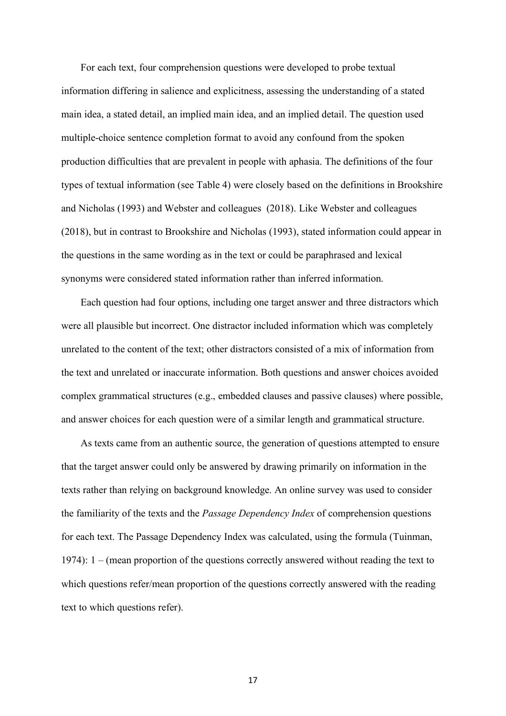For each text, four comprehension questions were developed to probe textual information differing in salience and explicitness, assessing the understanding of a stated main idea, a stated detail, an implied main idea, and an implied detail. The question used multiple-choice sentence completion format to avoid any confound from the spoken production difficulties that are prevalent in people with aphasia. The definitions of the four types of textual information (see Table 4) were closely based on the definitions in Brookshire and Nicholas (1993) and Webster and colleagues (2018). Like Webster and colleagues (2018), but in contrast to Brookshire and Nicholas (1993), stated information could appear in the questions in the same wording as in the text or could be paraphrased and lexical synonyms were considered stated information rather than inferred information.

Each question had four options, including one target answer and three distractors which were all plausible but incorrect. One distractor included information which was completely unrelated to the content of the text; other distractors consisted of a mix of information from the text and unrelated or inaccurate information. Both questions and answer choices avoided complex grammatical structures (e.g., embedded clauses and passive clauses) where possible, and answer choices for each question were of a similar length and grammatical structure.

As texts came from an authentic source, the generation of questions attempted to ensure that the target answer could only be answered by drawing primarily on information in the texts rather than relying on background knowledge. An online survey was used to consider the familiarity of the texts and the *Passage Dependency Index* of comprehension questions for each text. The Passage Dependency Index was calculated, using the formula (Tuinman, 1974): 1 – (mean proportion of the questions correctly answered without reading the text to which questions refer/mean proportion of the questions correctly answered with the reading text to which questions refer).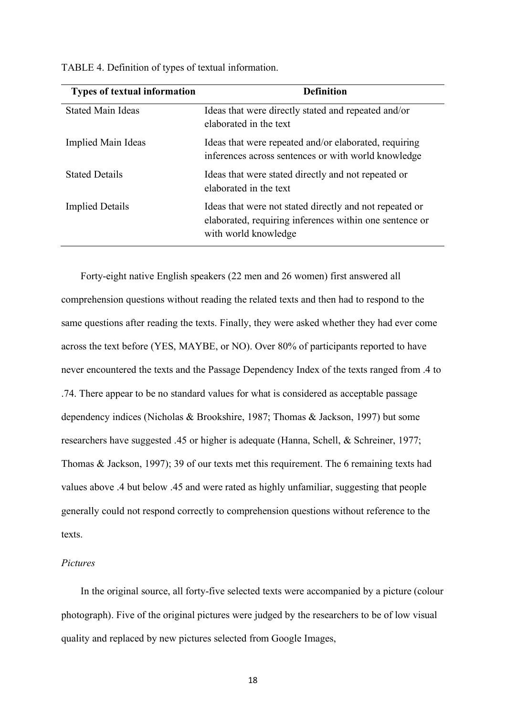| <b>Types of textual information</b> | <b>Definition</b>                                                                                                                          |
|-------------------------------------|--------------------------------------------------------------------------------------------------------------------------------------------|
| <b>Stated Main Ideas</b>            | Ideas that were directly stated and repeated and/or<br>elaborated in the text                                                              |
| Implied Main Ideas                  | Ideas that were repeated and/or elaborated, requiring<br>inferences across sentences or with world knowledge                               |
| <b>Stated Details</b>               | Ideas that were stated directly and not repeated or<br>elaborated in the text                                                              |
| <b>Implied Details</b>              | Ideas that were not stated directly and not repeated or<br>elaborated, requiring inferences within one sentence or<br>with world knowledge |

TABLE 4. Definition of types of textual information.

Forty-eight native English speakers (22 men and 26 women) first answered all comprehension questions without reading the related texts and then had to respond to the same questions after reading the texts. Finally, they were asked whether they had ever come across the text before (YES, MAYBE, or NO). Over 80% of participants reported to have never encountered the texts and the Passage Dependency Index of the texts ranged from .4 to .74. There appear to be no standard values for what is considered as acceptable passage dependency indices (Nicholas & Brookshire, 1987; Thomas & Jackson, 1997) but some researchers have suggested .45 or higher is adequate (Hanna, Schell, & Schreiner, 1977; Thomas & Jackson, 1997); 39 of our texts met this requirement. The 6 remaining texts had values above .4 but below .45 and were rated as highly unfamiliar, suggesting that people generally could not respond correctly to comprehension questions without reference to the texts.

#### *Pictures*

In the original source, all forty-five selected texts were accompanied by a picture (colour photograph). Five of the original pictures were judged by the researchers to be of low visual quality and replaced by new pictures selected from Google Images,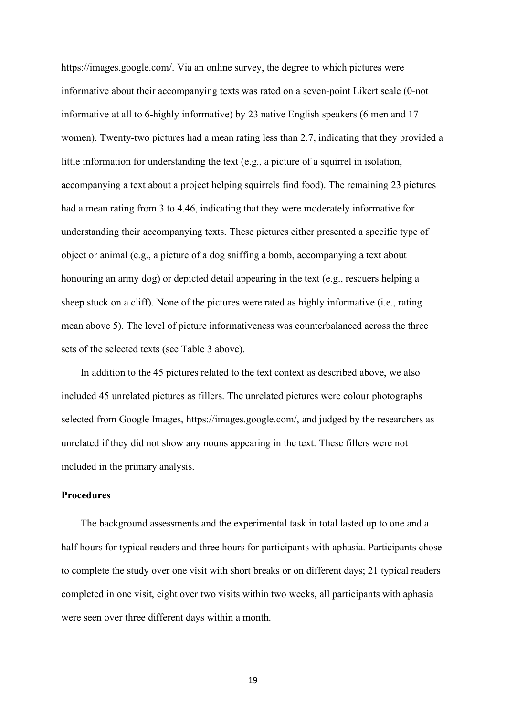https://images.google.com/. Via an online survey, the degree to which pictures were informative about their accompanying texts was rated on a seven-point Likert scale (0-not informative at all to 6-highly informative) by 23 native English speakers (6 men and 17 women). Twenty-two pictures had a mean rating less than 2.7, indicating that they provided a little information for understanding the text (e.g., a picture of a squirrel in isolation, accompanying a text about a project helping squirrels find food). The remaining 23 pictures had a mean rating from 3 to 4.46, indicating that they were moderately informative for understanding their accompanying texts. These pictures either presented a specific type of object or animal (e.g., a picture of a dog sniffing a bomb, accompanying a text about honouring an army dog) or depicted detail appearing in the text (e.g., rescuers helping a sheep stuck on a cliff). None of the pictures were rated as highly informative (i.e., rating mean above 5). The level of picture informativeness was counterbalanced across the three sets of the selected texts (see Table 3 above).

In addition to the 45 pictures related to the text context as described above, we also included 45 unrelated pictures as fillers. The unrelated pictures were colour photographs selected from Google Images, https://images.google.com/, and judged by the researchers as unrelated if they did not show any nouns appearing in the text. These fillers were not included in the primary analysis.

#### **Procedures**

The background assessments and the experimental task in total lasted up to one and a half hours for typical readers and three hours for participants with aphasia. Participants chose to complete the study over one visit with short breaks or on different days; 21 typical readers completed in one visit, eight over two visits within two weeks, all participants with aphasia were seen over three different days within a month.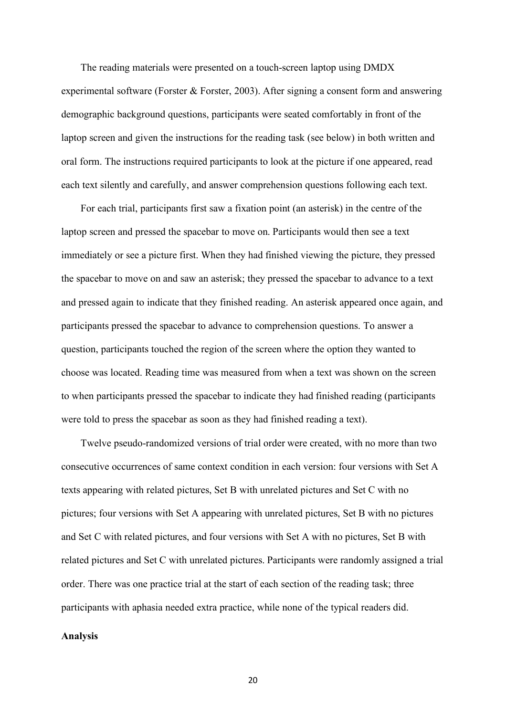The reading materials were presented on a touch-screen laptop using DMDX experimental software (Forster & Forster, 2003). After signing a consent form and answering demographic background questions, participants were seated comfortably in front of the laptop screen and given the instructions for the reading task (see below) in both written and oral form. The instructions required participants to look at the picture if one appeared, read each text silently and carefully, and answer comprehension questions following each text.

For each trial, participants first saw a fixation point (an asterisk) in the centre of the laptop screen and pressed the spacebar to move on. Participants would then see a text immediately or see a picture first. When they had finished viewing the picture, they pressed the spacebar to move on and saw an asterisk; they pressed the spacebar to advance to a text and pressed again to indicate that they finished reading. An asterisk appeared once again, and participants pressed the spacebar to advance to comprehension questions. To answer a question, participants touched the region of the screen where the option they wanted to choose was located. Reading time was measured from when a text was shown on the screen to when participants pressed the spacebar to indicate they had finished reading (participants were told to press the spacebar as soon as they had finished reading a text).

Twelve pseudo-randomized versions of trial order were created, with no more than two consecutive occurrences of same context condition in each version: four versions with Set A texts appearing with related pictures, Set B with unrelated pictures and Set C with no pictures; four versions with Set A appearing with unrelated pictures, Set B with no pictures and Set C with related pictures, and four versions with Set A with no pictures, Set B with related pictures and Set C with unrelated pictures. Participants were randomly assigned a trial order. There was one practice trial at the start of each section of the reading task; three participants with aphasia needed extra practice, while none of the typical readers did.

#### **Analysis**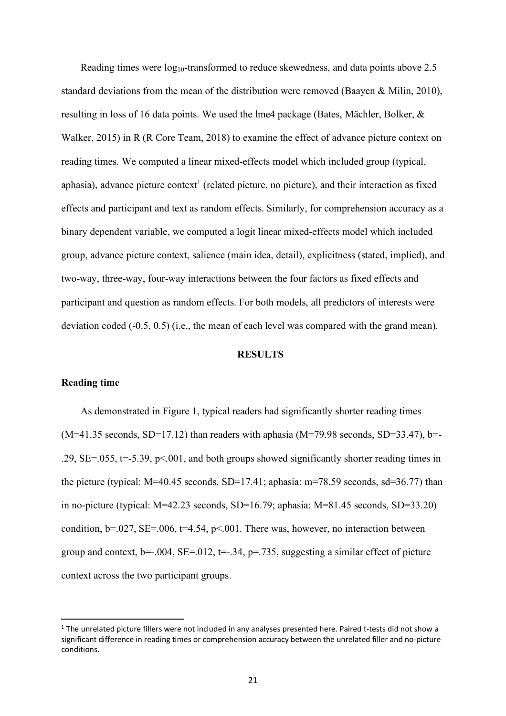Reading times were  $log_{10}$ -transformed to reduce skewedness, and data points above 2.5 standard deviations from the mean of the distribution were removed (Baayen & Milin, 2010), resulting in loss of 16 data points. We used the lme4 package (Bates, Mächler, Bolker, & Walker, 2015) in R (R Core Team, 2018) to examine the effect of advance picture context on reading times. We computed a linear mixed-effects model which included group (typical, aphasia), advance picture context<sup>1</sup> (related picture, no picture), and their interaction as fixed effects and participant and text as random effects. Similarly, for comprehension accuracy as a binary dependent variable, we computed a logit linear mixed-effects model which included group, advance picture context, salience (main idea, detail), explicitness (stated, implied), and two-way, three-way, four-way interactions between the four factors as fixed effects and participant and question as random effects. For both models, all predictors of interests were deviation coded (-0.5, 0.5) (i.e., the mean of each level was compared with the grand mean).

#### **RESULTS**

#### **Reading time**

As demonstrated in Figure 1, typical readers had significantly shorter reading times  $(M=41.35$  seconds, SD=17.12) than readers with aphasia  $(M=79.98$  seconds, SD=33.47), b=-.29,  $SE = .055$ ,  $t = .5.39$ ,  $p < .001$ , and both groups showed significantly shorter reading times in the picture (typical:  $M=40.45$  seconds,  $SD=17.41$ ; aphasia:  $m=78.59$  seconds,  $sd=36.77$ ) than in no-picture (typical: M=42.23 seconds, SD=16.79; aphasia: M=81.45 seconds, SD=33.20) condition,  $b=0.027$ ,  $SE=.006$ ,  $t=4.54$ ,  $p<0.01$ . There was, however, no interaction between group and context,  $b=-.004$ ,  $SE=.012$ ,  $t=-.34$ ,  $p=.735$ , suggesting a similar effect of picture context across the two participant groups.

 $1$  The unrelated picture fillers were not included in any analyses presented here. Paired t-tests did not show a significant difference in reading times or comprehension accuracy between the unrelated filler and no-picture conditions.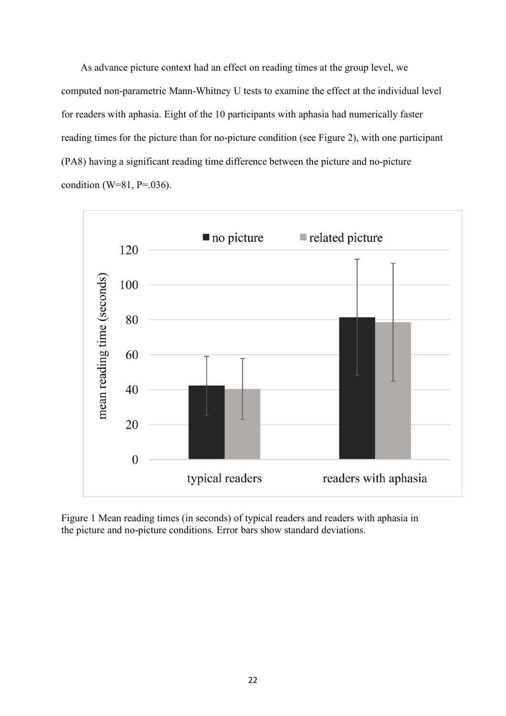As advance picture context had an effect on reading times at the group level, we computed non-parametric Mann-Whitney U tests to examine the effect at the individual level for readers with aphasia. Eight of the 10 participants with aphasia had numerically faster reading times for the picture than for no-picture condition (see Figure 2), with one participant (PA8) having a significant reading time difference between the picture and no-picture condition (W=81, P=.036).



Figure 1 Mean reading times (in seconds) of typical readers and readers with aphasia in the picture and no-picture conditions. Error bars show standard deviations.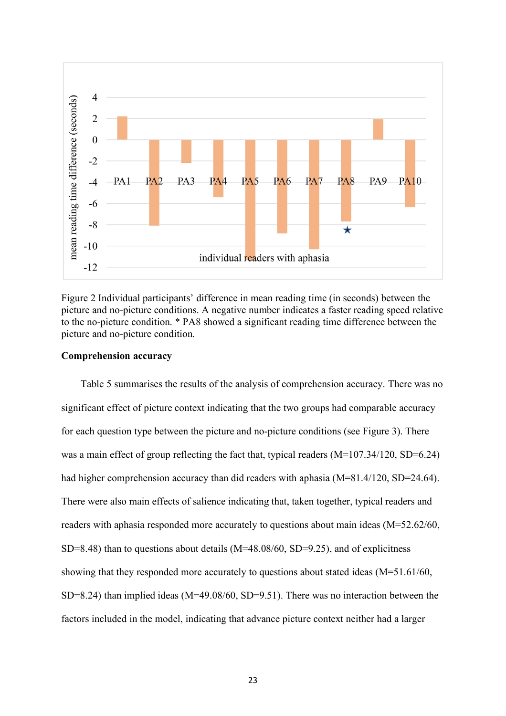

Figure 2 Individual participants' difference in mean reading time (in seconds) between the picture and no-picture conditions. A negative number indicates a faster reading speed relative to the no-picture condition. \* PA8 showed a significant reading time difference between the picture and no-picture condition.

#### **Comprehension accuracy**

Table 5 summarises the results of the analysis of comprehension accuracy. There was no significant effect of picture context indicating that the two groups had comparable accuracy for each question type between the picture and no-picture conditions (see Figure 3). There was a main effect of group reflecting the fact that, typical readers  $(M=107.34/120, SD=6.24)$ had higher comprehension accuracy than did readers with aphasia (M=81.4/120, SD=24.64). There were also main effects of salience indicating that, taken together, typical readers and readers with aphasia responded more accurately to questions about main ideas (M=52.62/60,  $SD=8.48$ ) than to questions about details (M=48.08/60, SD=9.25), and of explicitness showing that they responded more accurately to questions about stated ideas (M=51.61/60, SD=8.24) than implied ideas (M=49.08/60, SD=9.51). There was no interaction between the factors included in the model, indicating that advance picture context neither had a larger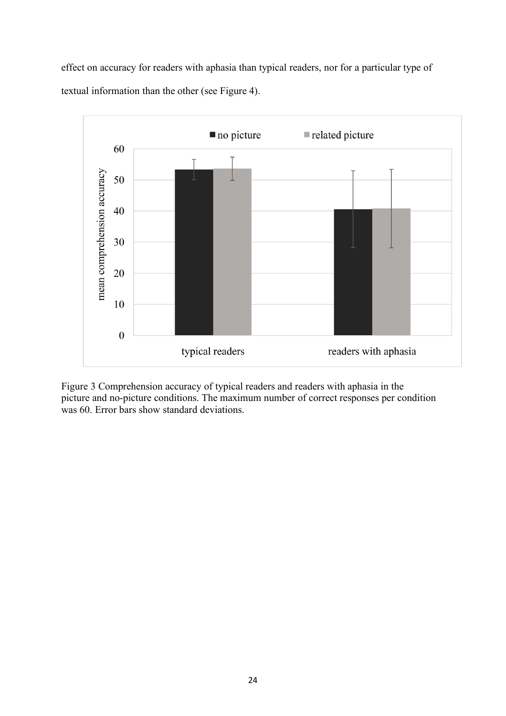effect on accuracy for readers with aphasia than typical readers, nor for a particular type of textual information than the other (see Figure 4).



Figure 3 Comprehension accuracy of typical readers and readers with aphasia in the picture and no-picture conditions. The maximum number of correct responses per condition was 60. Error bars show standard deviations.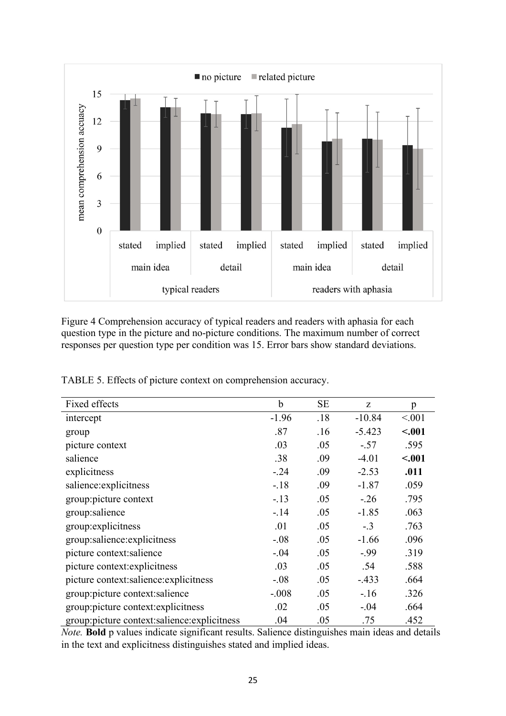

Figure 4 Comprehension accuracy of typical readers and readers with aphasia for each question type in the picture and no-picture conditions. The maximum number of correct responses per question type per condition was 15. Error bars show standard deviations.

| Fixed effects                               | b       | SE  | Z        | p       |
|---------------------------------------------|---------|-----|----------|---------|
| intercept                                   | $-1.96$ | .18 | $-10.84$ | < 0.01  |
| group                                       | .87     | .16 | $-5.423$ | $-.001$ |
| picture context                             | .03     | .05 | $-.57$   | .595    |
| salience                                    | .38     | .09 | $-4.01$  | $-.001$ |
| explicitness                                | $-.24$  | .09 | $-2.53$  | .011    |
| salience: explicitness                      | $-.18$  | .09 | $-1.87$  | .059    |
| group:picture context                       | $-13$   | .05 | $-.26$   | .795    |
| group:salience                              | $-.14$  | .05 | $-1.85$  | .063    |
| group: explicitness                         | .01     | .05 | $-.3$    | .763    |
| group:salience:explicitness                 | $-.08$  | .05 | $-1.66$  | .096    |
| picture context: salience                   | $-.04$  | .05 | $-99$    | .319    |
| picture context: explicitness               | .03     | .05 | .54      | .588    |
| picture context:salience:explicitness       | $-.08$  | .05 | $-433$   | .664    |
| group:picture context:salience              | $-.008$ | .05 | $-16$    | .326    |
| group:picture context: explicitness         | .02     | .05 | $-.04$   | .664    |
| group:picture context:salience:explicitness | .04     | .05 | .75      | .452    |

TABLE 5. Effects of picture context on comprehension accuracy.

*Note.* **Bold** p values indicate significant results. Salience distinguishes main ideas and details in the text and explicitness distinguishes stated and implied ideas.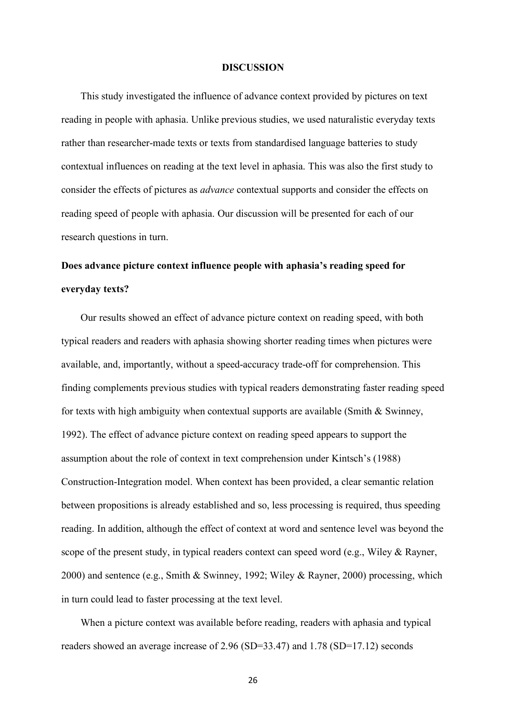#### **DISCUSSION**

This study investigated the influence of advance context provided by pictures on text reading in people with aphasia. Unlike previous studies, we used naturalistic everyday texts rather than researcher-made texts or texts from standardised language batteries to study contextual influences on reading at the text level in aphasia. This was also the first study to consider the effects of pictures as *advance* contextual supports and consider the effects on reading speed of people with aphasia. Our discussion will be presented for each of our research questions in turn.

### **Does advance picture context influence people with aphasia's reading speed for everyday texts?**

Our results showed an effect of advance picture context on reading speed, with both typical readers and readers with aphasia showing shorter reading times when pictures were available, and, importantly, without a speed-accuracy trade-off for comprehension. This finding complements previous studies with typical readers demonstrating faster reading speed for texts with high ambiguity when contextual supports are available (Smith  $\&$  Swinney, 1992). The effect of advance picture context on reading speed appears to support the assumption about the role of context in text comprehension under Kintsch's (1988) Construction-Integration model. When context has been provided, a clear semantic relation between propositions is already established and so, less processing is required, thus speeding reading. In addition, although the effect of context at word and sentence level was beyond the scope of the present study, in typical readers context can speed word (e.g., Wiley & Rayner, 2000) and sentence (e.g., Smith & Swinney, 1992; Wiley & Rayner, 2000) processing, which in turn could lead to faster processing at the text level.

When a picture context was available before reading, readers with aphasia and typical readers showed an average increase of 2.96 (SD=33.47) and 1.78 (SD=17.12) seconds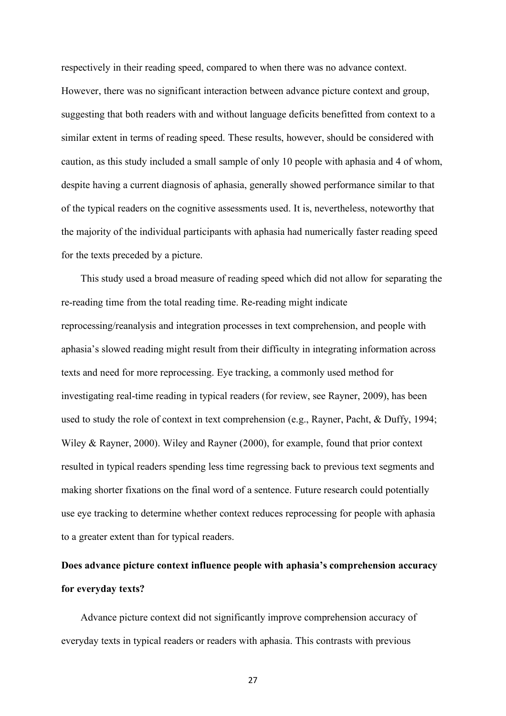respectively in their reading speed, compared to when there was no advance context. However, there was no significant interaction between advance picture context and group, suggesting that both readers with and without language deficits benefitted from context to a similar extent in terms of reading speed. These results, however, should be considered with caution, as this study included a small sample of only 10 people with aphasia and 4 of whom, despite having a current diagnosis of aphasia, generally showed performance similar to that of the typical readers on the cognitive assessments used. It is, nevertheless, noteworthy that the majority of the individual participants with aphasia had numerically faster reading speed for the texts preceded by a picture.

This study used a broad measure of reading speed which did not allow for separating the re-reading time from the total reading time. Re-reading might indicate reprocessing/reanalysis and integration processes in text comprehension, and people with aphasia's slowed reading might result from their difficulty in integrating information across texts and need for more reprocessing. Eye tracking, a commonly used method for investigating real-time reading in typical readers (for review, see Rayner, 2009), has been used to study the role of context in text comprehension (e.g., Rayner, Pacht, & Duffy, 1994; Wiley & Rayner, 2000). Wiley and Rayner (2000), for example, found that prior context resulted in typical readers spending less time regressing back to previous text segments and making shorter fixations on the final word of a sentence. Future research could potentially use eye tracking to determine whether context reduces reprocessing for people with aphasia to a greater extent than for typical readers.

## **Does advance picture context influence people with aphasia's comprehension accuracy for everyday texts?**

Advance picture context did not significantly improve comprehension accuracy of everyday texts in typical readers or readers with aphasia. This contrasts with previous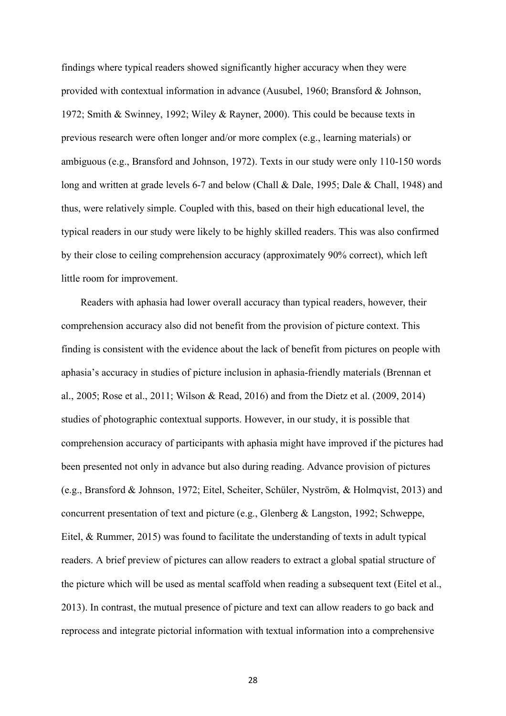findings where typical readers showed significantly higher accuracy when they were provided with contextual information in advance (Ausubel, 1960; Bransford & Johnson, 1972; Smith & Swinney, 1992; Wiley & Rayner, 2000). This could be because texts in previous research were often longer and/or more complex (e.g., learning materials) or ambiguous (e.g., Bransford and Johnson, 1972). Texts in our study were only 110-150 words long and written at grade levels 6-7 and below (Chall & Dale, 1995; Dale & Chall, 1948) and thus, were relatively simple. Coupled with this, based on their high educational level, the typical readers in our study were likely to be highly skilled readers. This was also confirmed by their close to ceiling comprehension accuracy (approximately 90% correct), which left little room for improvement.

Readers with aphasia had lower overall accuracy than typical readers, however, their comprehension accuracy also did not benefit from the provision of picture context. This finding is consistent with the evidence about the lack of benefit from pictures on people with aphasia's accuracy in studies of picture inclusion in aphasia-friendly materials (Brennan et al., 2005; Rose et al., 2011; Wilson & Read, 2016) and from the Dietz et al. (2009, 2014) studies of photographic contextual supports. However, in our study, it is possible that comprehension accuracy of participants with aphasia might have improved if the pictures had been presented not only in advance but also during reading. Advance provision of pictures (e.g., Bransford & Johnson, 1972; Eitel, Scheiter, Schüler, Nyström, & Holmqvist, 2013) and concurrent presentation of text and picture (e.g., Glenberg & Langston, 1992; Schweppe, Eitel, & Rummer, 2015) was found to facilitate the understanding of texts in adult typical readers. A brief preview of pictures can allow readers to extract a global spatial structure of the picture which will be used as mental scaffold when reading a subsequent text (Eitel et al., 2013). In contrast, the mutual presence of picture and text can allow readers to go back and reprocess and integrate pictorial information with textual information into a comprehensive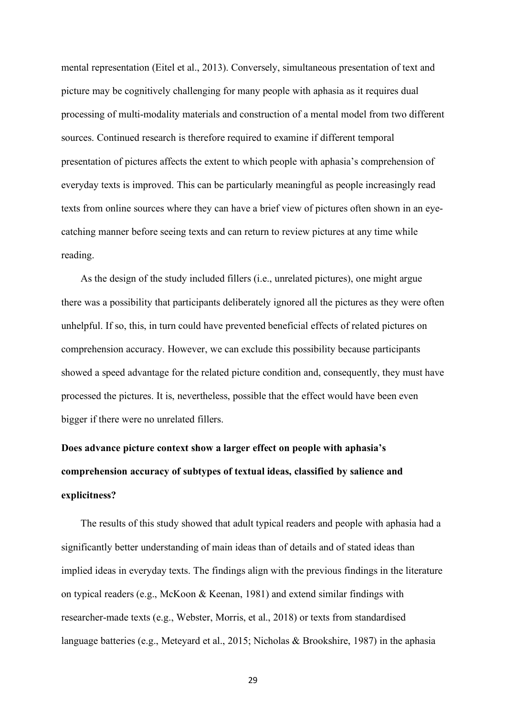mental representation (Eitel et al., 2013). Conversely, simultaneous presentation of text and picture may be cognitively challenging for many people with aphasia as it requires dual processing of multi-modality materials and construction of a mental model from two different sources. Continued research is therefore required to examine if different temporal presentation of pictures affects the extent to which people with aphasia's comprehension of everyday texts is improved. This can be particularly meaningful as people increasingly read texts from online sources where they can have a brief view of pictures often shown in an eyecatching manner before seeing texts and can return to review pictures at any time while reading.

As the design of the study included fillers (i.e., unrelated pictures), one might argue there was a possibility that participants deliberately ignored all the pictures as they were often unhelpful. If so, this, in turn could have prevented beneficial effects of related pictures on comprehension accuracy. However, we can exclude this possibility because participants showed a speed advantage for the related picture condition and, consequently, they must have processed the pictures. It is, nevertheless, possible that the effect would have been even bigger if there were no unrelated fillers.

# **Does advance picture context show a larger effect on people with aphasia's comprehension accuracy of subtypes of textual ideas, classified by salience and explicitness?**

The results of this study showed that adult typical readers and people with aphasia had a significantly better understanding of main ideas than of details and of stated ideas than implied ideas in everyday texts. The findings align with the previous findings in the literature on typical readers (e.g., McKoon & Keenan, 1981) and extend similar findings with researcher-made texts (e.g., Webster, Morris, et al., 2018) or texts from standardised language batteries (e.g., Meteyard et al., 2015; Nicholas & Brookshire, 1987) in the aphasia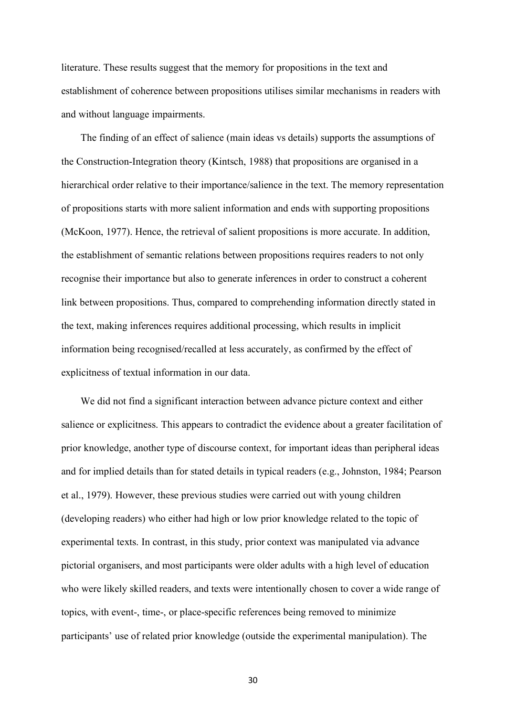literature. These results suggest that the memory for propositions in the text and establishment of coherence between propositions utilises similar mechanisms in readers with and without language impairments.

The finding of an effect of salience (main ideas vs details) supports the assumptions of the Construction-Integration theory (Kintsch, 1988) that propositions are organised in a hierarchical order relative to their importance/salience in the text. The memory representation of propositions starts with more salient information and ends with supporting propositions (McKoon, 1977). Hence, the retrieval of salient propositions is more accurate. In addition, the establishment of semantic relations between propositions requires readers to not only recognise their importance but also to generate inferences in order to construct a coherent link between propositions. Thus, compared to comprehending information directly stated in the text, making inferences requires additional processing, which results in implicit information being recognised/recalled at less accurately, as confirmed by the effect of explicitness of textual information in our data.

We did not find a significant interaction between advance picture context and either salience or explicitness. This appears to contradict the evidence about a greater facilitation of prior knowledge, another type of discourse context, for important ideas than peripheral ideas and for implied details than for stated details in typical readers (e.g., Johnston, 1984; Pearson et al., 1979). However, these previous studies were carried out with young children (developing readers) who either had high or low prior knowledge related to the topic of experimental texts. In contrast, in this study, prior context was manipulated via advance pictorial organisers, and most participants were older adults with a high level of education who were likely skilled readers, and texts were intentionally chosen to cover a wide range of topics, with event-, time-, or place-specific references being removed to minimize participants' use of related prior knowledge (outside the experimental manipulation). The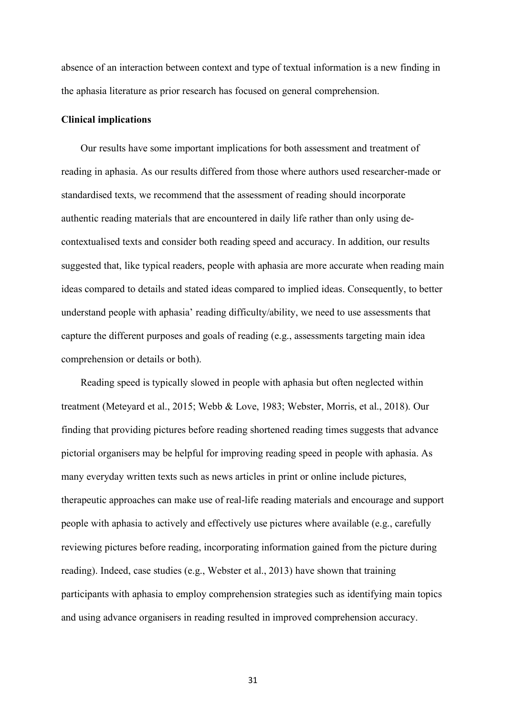absence of an interaction between context and type of textual information is a new finding in the aphasia literature as prior research has focused on general comprehension.

#### **Clinical implications**

Our results have some important implications for both assessment and treatment of reading in aphasia. As our results differed from those where authors used researcher-made or standardised texts, we recommend that the assessment of reading should incorporate authentic reading materials that are encountered in daily life rather than only using decontextualised texts and consider both reading speed and accuracy. In addition, our results suggested that, like typical readers, people with aphasia are more accurate when reading main ideas compared to details and stated ideas compared to implied ideas. Consequently, to better understand people with aphasia' reading difficulty/ability, we need to use assessments that capture the different purposes and goals of reading (e.g., assessments targeting main idea comprehension or details or both).

Reading speed is typically slowed in people with aphasia but often neglected within treatment (Meteyard et al., 2015; Webb & Love, 1983; Webster, Morris, et al., 2018). Our finding that providing pictures before reading shortened reading times suggests that advance pictorial organisers may be helpful for improving reading speed in people with aphasia. As many everyday written texts such as news articles in print or online include pictures, therapeutic approaches can make use of real-life reading materials and encourage and support people with aphasia to actively and effectively use pictures where available (e.g., carefully reviewing pictures before reading, incorporating information gained from the picture during reading). Indeed, case studies (e.g., Webster et al., 2013) have shown that training participants with aphasia to employ comprehension strategies such as identifying main topics and using advance organisers in reading resulted in improved comprehension accuracy.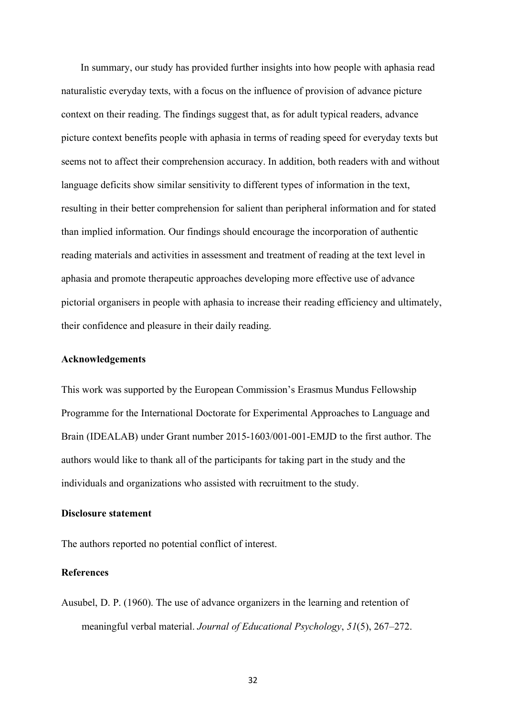In summary, our study has provided further insights into how people with aphasia read naturalistic everyday texts, with a focus on the influence of provision of advance picture context on their reading. The findings suggest that, as for adult typical readers, advance picture context benefits people with aphasia in terms of reading speed for everyday texts but seems not to affect their comprehension accuracy. In addition, both readers with and without language deficits show similar sensitivity to different types of information in the text, resulting in their better comprehension for salient than peripheral information and for stated than implied information. Our findings should encourage the incorporation of authentic reading materials and activities in assessment and treatment of reading at the text level in aphasia and promote therapeutic approaches developing more effective use of advance pictorial organisers in people with aphasia to increase their reading efficiency and ultimately, their confidence and pleasure in their daily reading.

#### **Acknowledgements**

This work was supported by the European Commission's Erasmus Mundus Fellowship Programme for the International Doctorate for Experimental Approaches to Language and Brain (IDEALAB) under Grant number 2015-1603/001-001-EMJD to the first author. The authors would like to thank all of the participants for taking part in the study and the individuals and organizations who assisted with recruitment to the study.

#### **Disclosure statement**

The authors reported no potential conflict of interest.

#### **References**

Ausubel, D. P. (1960). The use of advance organizers in the learning and retention of meaningful verbal material. *Journal of Educational Psychology*, *51*(5), 267–272.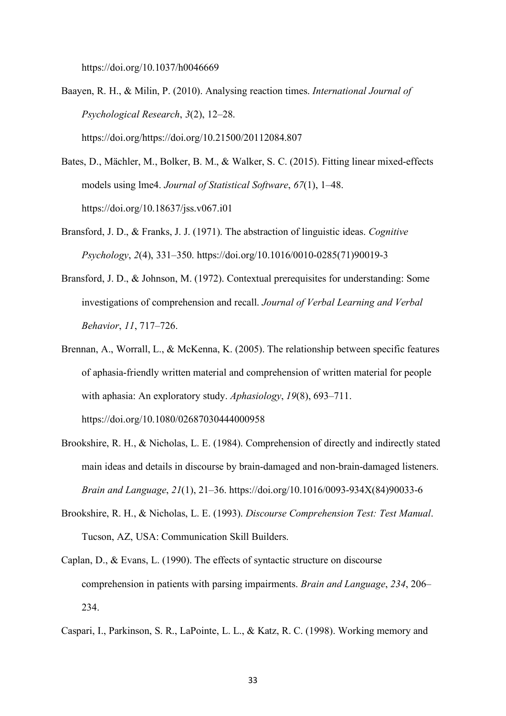https://doi.org/10.1037/h0046669

- Baayen, R. H., & Milin, P. (2010). Analysing reaction times. *International Journal of Psychological Research*, *3*(2), 12–28. https://doi.org/https://doi.org/10.21500/20112084.807
- Bates, D., Mächler, M., Bolker, B. M., & Walker, S. C. (2015). Fitting linear mixed-effects models using lme4. *Journal of Statistical Software*, *67*(1), 1–48. https://doi.org/10.18637/jss.v067.i01
- Bransford, J. D., & Franks, J. J. (1971). The abstraction of linguistic ideas. *Cognitive Psychology*, *2*(4), 331–350. https://doi.org/10.1016/0010-0285(71)90019-3
- Bransford, J. D., & Johnson, M. (1972). Contextual prerequisites for understanding: Some investigations of comprehension and recall. *Journal of Verbal Learning and Verbal Behavior*, *11*, 717–726.
- Brennan, A., Worrall, L., & McKenna, K. (2005). The relationship between specific features of aphasia-friendly written material and comprehension of written material for people with aphasia: An exploratory study. *Aphasiology*, *19*(8), 693–711. https://doi.org/10.1080/02687030444000958
- Brookshire, R. H., & Nicholas, L. E. (1984). Comprehension of directly and indirectly stated main ideas and details in discourse by brain-damaged and non-brain-damaged listeners. *Brain and Language*, *21*(1), 21–36. https://doi.org/10.1016/0093-934X(84)90033-6
- Brookshire, R. H., & Nicholas, L. E. (1993). *Discourse Comprehension Test: Test Manual*. Tucson, AZ, USA: Communication Skill Builders.
- Caplan, D., & Evans, L. (1990). The effects of syntactic structure on discourse comprehension in patients with parsing impairments. *Brain and Language*, *234*, 206– 234.
- Caspari, I., Parkinson, S. R., LaPointe, L. L., & Katz, R. C. (1998). Working memory and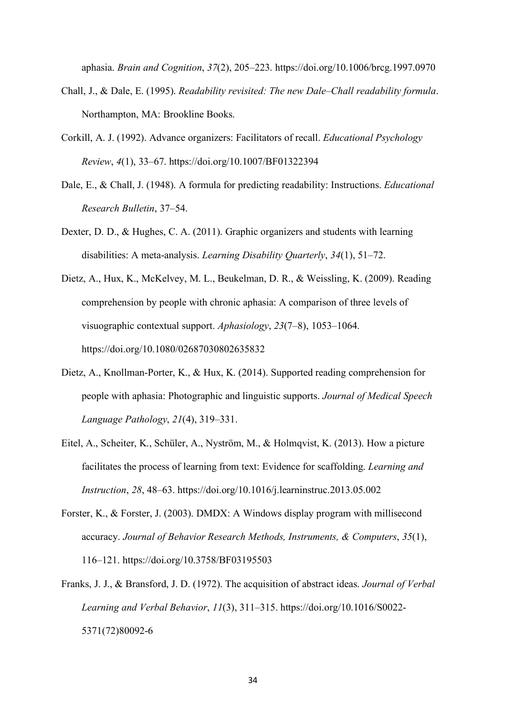aphasia. *Brain and Cognition*, *37*(2), 205–223. https://doi.org/10.1006/brcg.1997.0970

- Chall, J., & Dale, E. (1995). *Readability revisited: The new Dale–Chall readability formula*. Northampton, MA: Brookline Books.
- Corkill, A. J. (1992). Advance organizers: Facilitators of recall. *Educational Psychology Review*, *4*(1), 33–67. https://doi.org/10.1007/BF01322394
- Dale, E., & Chall, J. (1948). A formula for predicting readability: Instructions. *Educational Research Bulletin*, 37–54.
- Dexter, D. D., & Hughes, C. A. (2011). Graphic organizers and students with learning disabilities: A meta-analysis. *Learning Disability Quarterly*, *34*(1), 51–72.
- Dietz, A., Hux, K., McKelvey, M. L., Beukelman, D. R., & Weissling, K. (2009). Reading comprehension by people with chronic aphasia: A comparison of three levels of visuographic contextual support. *Aphasiology*, *23*(7–8), 1053–1064. https://doi.org/10.1080/02687030802635832
- Dietz, A., Knollman-Porter, K., & Hux, K. (2014). Supported reading comprehension for people with aphasia: Photographic and linguistic supports. *Journal of Medical Speech Language Pathology*, *21*(4), 319–331.
- Eitel, A., Scheiter, K., Schüler, A., Nyström, M., & Holmqvist, K. (2013). How a picture facilitates the process of learning from text: Evidence for scaffolding. *Learning and Instruction*, *28*, 48–63. https://doi.org/10.1016/j.learninstruc.2013.05.002
- Forster, K., & Forster, J. (2003). DMDX: A Windows display program with millisecond accuracy. *Journal of Behavior Research Methods, Instruments, & Computers*, *35*(1), 116–121. https://doi.org/10.3758/BF03195503
- Franks, J. J., & Bransford, J. D. (1972). The acquisition of abstract ideas. *Journal of Verbal Learning and Verbal Behavior*, *11*(3), 311–315. https://doi.org/10.1016/S0022- 5371(72)80092-6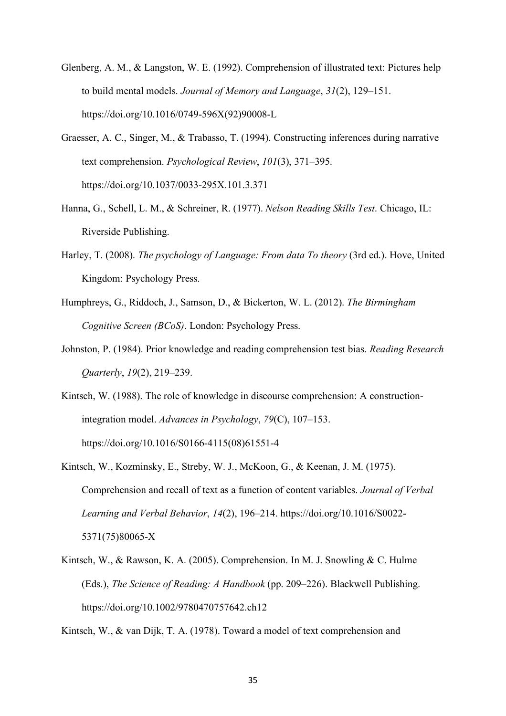- Glenberg, A. M., & Langston, W. E. (1992). Comprehension of illustrated text: Pictures help to build mental models. *Journal of Memory and Language*, *31*(2), 129–151. https://doi.org/10.1016/0749-596X(92)90008-L
- Graesser, A. C., Singer, M., & Trabasso, T. (1994). Constructing inferences during narrative text comprehension. *Psychological Review*, *101*(3), 371–395. https://doi.org/10.1037/0033-295X.101.3.371
- Hanna, G., Schell, L. M., & Schreiner, R. (1977). *Nelson Reading Skills Test*. Chicago, IL: Riverside Publishing.
- Harley, T. (2008). *The psychology of Language: From data To theory* (3rd ed.). Hove, United Kingdom: Psychology Press.
- Humphreys, G., Riddoch, J., Samson, D., & Bickerton, W. L. (2012). *The Birmingham Cognitive Screen (BCoS)*. London: Psychology Press.
- Johnston, P. (1984). Prior knowledge and reading comprehension test bias. *Reading Research Quarterly*, *19*(2), 219–239.
- Kintsch, W. (1988). The role of knowledge in discourse comprehension: A constructionintegration model. *Advances in Psychology*, *79*(C), 107–153. https://doi.org/10.1016/S0166-4115(08)61551-4
- Kintsch, W., Kozminsky, E., Streby, W. J., McKoon, G., & Keenan, J. M. (1975). Comprehension and recall of text as a function of content variables. *Journal of Verbal Learning and Verbal Behavior*, *14*(2), 196–214. https://doi.org/10.1016/S0022- 5371(75)80065-X
- Kintsch, W., & Rawson, K. A. (2005). Comprehension. In M. J. Snowling & C. Hulme (Eds.), *The Science of Reading: A Handbook* (pp. 209–226). Blackwell Publishing. https://doi.org/10.1002/9780470757642.ch12

Kintsch, W., & van Dijk, T. A. (1978). Toward a model of text comprehension and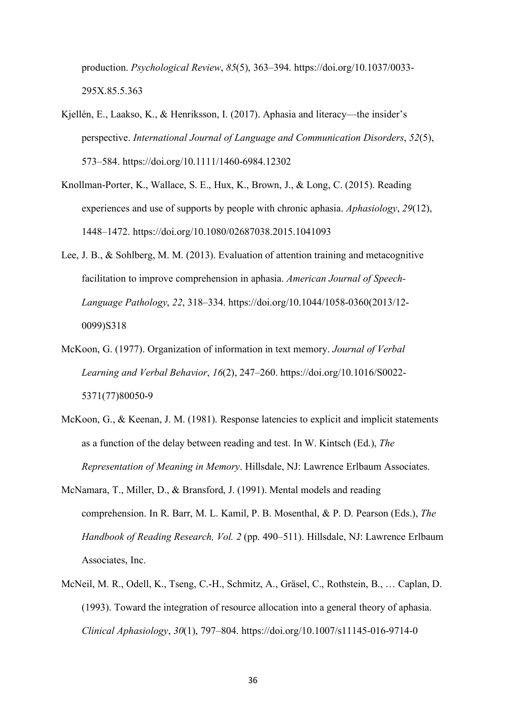production. *Psychological Review*, *85*(5), 363–394. https://doi.org/10.1037/0033- 295X.85.5.363

- Kjellén, E., Laakso, K., & Henriksson, I. (2017). Aphasia and literacy—the insider's perspective. *International Journal of Language and Communication Disorders*, *52*(5), 573–584. https://doi.org/10.1111/1460-6984.12302
- Knollman-Porter, K., Wallace, S. E., Hux, K., Brown, J., & Long, C. (2015). Reading experiences and use of supports by people with chronic aphasia. *Aphasiology*, *29*(12), 1448–1472. https://doi.org/10.1080/02687038.2015.1041093
- Lee, J. B., & Sohlberg, M. M. (2013). Evaluation of attention training and metacognitive facilitation to improve comprehension in aphasia. *American Journal of Speech-Language Pathology*, *22*, 318–334. https://doi.org/10.1044/1058-0360(2013/12- 0099)S318
- McKoon, G. (1977). Organization of information in text memory. *Journal of Verbal Learning and Verbal Behavior*, *16*(2), 247–260. https://doi.org/10.1016/S0022- 5371(77)80050-9
- McKoon, G., & Keenan, J. M. (1981). Response latencies to explicit and implicit statements as a function of the delay between reading and test. In W. Kintsch (Ed.), *The Representation of Meaning in Memory*. Hillsdale, NJ: Lawrence Erlbaum Associates.
- McNamara, T., Miller, D., & Bransford, J. (1991). Mental models and reading comprehension. In R. Barr, M. L. Kamil, P. B. Mosenthal, & P. D. Pearson (Eds.), *The Handbook of Reading Research, Vol. 2* (pp. 490–511). Hillsdale, NJ: Lawrence Erlbaum Associates, Inc.
- McNeil, M. R., Odell, K., Tseng, C.-H., Schmitz, A., Gräsel, C., Rothstein, B., … Caplan, D. (1993). Toward the integration of resource allocation into a general theory of aphasia. *Clinical Aphasiology*, *30*(1), 797–804. https://doi.org/10.1007/s11145-016-9714-0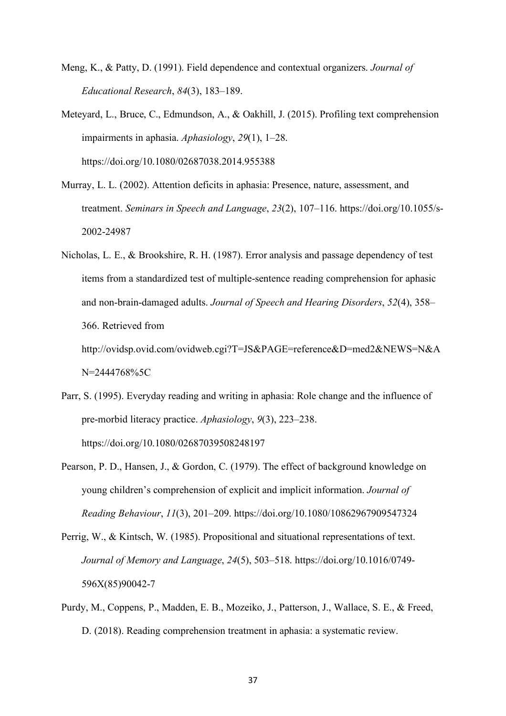- Meng, K., & Patty, D. (1991). Field dependence and contextual organizers. *Journal of Educational Research*, *84*(3), 183–189.
- Meteyard, L., Bruce, C., Edmundson, A., & Oakhill, J. (2015). Profiling text comprehension impairments in aphasia. *Aphasiology*, *29*(1), 1–28. https://doi.org/10.1080/02687038.2014.955388
- Murray, L. L. (2002). Attention deficits in aphasia: Presence, nature, assessment, and treatment. *Seminars in Speech and Language*, *23*(2), 107–116. https://doi.org/10.1055/s-2002-24987
- Nicholas, L. E., & Brookshire, R. H. (1987). Error analysis and passage dependency of test items from a standardized test of multiple-sentence reading comprehension for aphasic and non-brain-damaged adults. *Journal of Speech and Hearing Disorders*, *52*(4), 358– 366. Retrieved from http://ovidsp.ovid.com/ovidweb.cgi?T=JS&PAGE=reference&D=med2&NEWS=N&A

N=2444768%5C

- Parr, S. (1995). Everyday reading and writing in aphasia: Role change and the influence of pre-morbid literacy practice. *Aphasiology*, *9*(3), 223–238. https://doi.org/10.1080/02687039508248197
- Pearson, P. D., Hansen, J., & Gordon, C. (1979). The effect of background knowledge on young children's comprehension of explicit and implicit information. *Journal of Reading Behaviour*, *11*(3), 201–209. https://doi.org/10.1080/10862967909547324
- Perrig, W., & Kintsch, W. (1985). Propositional and situational representations of text. *Journal of Memory and Language*, *24*(5), 503–518. https://doi.org/10.1016/0749- 596X(85)90042-7
- Purdy, M., Coppens, P., Madden, E. B., Mozeiko, J., Patterson, J., Wallace, S. E., & Freed, D. (2018). Reading comprehension treatment in aphasia: a systematic review.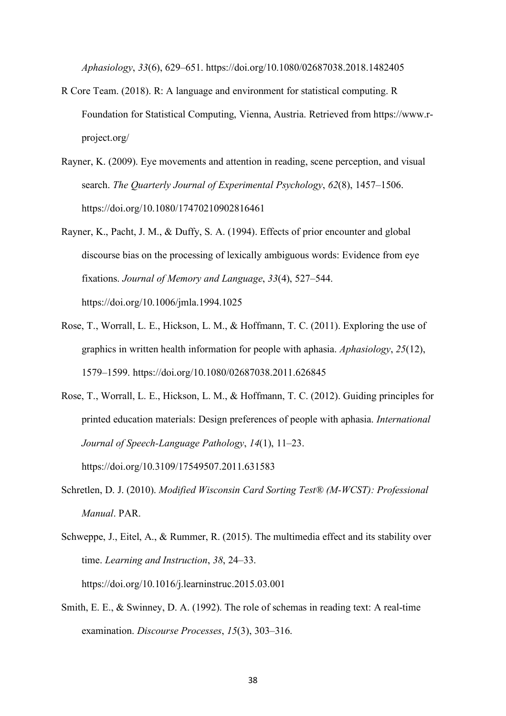*Aphasiology*, *33*(6), 629–651. https://doi.org/10.1080/02687038.2018.1482405

- R Core Team. (2018). R: A language and environment for statistical computing. R Foundation for Statistical Computing, Vienna, Austria. Retrieved from https://www.rproject.org/
- Rayner, K. (2009). Eye movements and attention in reading, scene perception, and visual search. *The Quarterly Journal of Experimental Psychology*, *62*(8), 1457–1506. https://doi.org/10.1080/17470210902816461
- Rayner, K., Pacht, J. M., & Duffy, S. A. (1994). Effects of prior encounter and global discourse bias on the processing of lexically ambiguous words: Evidence from eye fixations. *Journal of Memory and Language*, *33*(4), 527–544. https://doi.org/10.1006/jmla.1994.1025
- Rose, T., Worrall, L. E., Hickson, L. M., & Hoffmann, T. C. (2011). Exploring the use of graphics in written health information for people with aphasia. *Aphasiology*, *25*(12), 1579–1599. https://doi.org/10.1080/02687038.2011.626845
- Rose, T., Worrall, L. E., Hickson, L. M., & Hoffmann, T. C. (2012). Guiding principles for printed education materials: Design preferences of people with aphasia. *International Journal of Speech-Language Pathology*, *14*(1), 11–23. https://doi.org/10.3109/17549507.2011.631583
- Schretlen, D. J. (2010). *Modified Wisconsin Card Sorting Test® (M-WCST): Professional Manual*. PAR.
- Schweppe, J., Eitel, A., & Rummer, R. (2015). The multimedia effect and its stability over time. *Learning and Instruction*, *38*, 24–33. https://doi.org/10.1016/j.learninstruc.2015.03.001
- Smith, E. E., & Swinney, D. A. (1992). The role of schemas in reading text: A real-time examination. *Discourse Processes*, *15*(3), 303–316.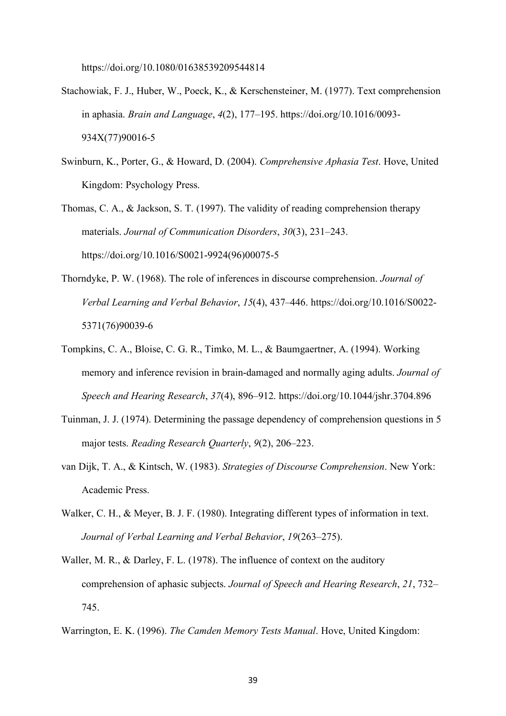https://doi.org/10.1080/01638539209544814

- Stachowiak, F. J., Huber, W., Poeck, K., & Kerschensteiner, M. (1977). Text comprehension in aphasia. *Brain and Language*, *4*(2), 177–195. https://doi.org/10.1016/0093- 934X(77)90016-5
- Swinburn, K., Porter, G., & Howard, D. (2004). *Comprehensive Aphasia Test*. Hove, United Kingdom: Psychology Press.

Thomas, C. A., & Jackson, S. T. (1997). The validity of reading comprehension therapy materials. *Journal of Communication Disorders*, *30*(3), 231–243. https://doi.org/10.1016/S0021-9924(96)00075-5

- Thorndyke, P. W. (1968). The role of inferences in discourse comprehension. *Journal of Verbal Learning and Verbal Behavior*, *15*(4), 437–446. https://doi.org/10.1016/S0022- 5371(76)90039-6
- Tompkins, C. A., Bloise, C. G. R., Timko, M. L., & Baumgaertner, A. (1994). Working memory and inference revision in brain-damaged and normally aging adults. *Journal of Speech and Hearing Research*, *37*(4), 896–912. https://doi.org/10.1044/jshr.3704.896
- Tuinman, J. J. (1974). Determining the passage dependency of comprehension questions in 5 major tests. *Reading Research Quarterly*, *9*(2), 206–223.
- van Dijk, T. A., & Kintsch, W. (1983). *Strategies of Discourse Comprehension*. New York: Academic Press.
- Walker, C. H., & Meyer, B. J. F. (1980). Integrating different types of information in text. *Journal of Verbal Learning and Verbal Behavior*, *19*(263–275).
- Waller, M. R., & Darley, F. L. (1978). The influence of context on the auditory comprehension of aphasic subjects. *Journal of Speech and Hearing Research*, *21*, 732– 745.

Warrington, E. K. (1996). *The Camden Memory Tests Manual*. Hove, United Kingdom: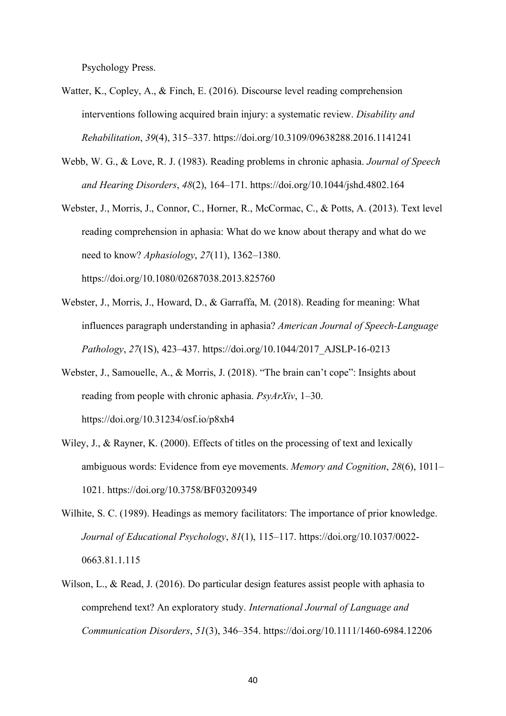Psychology Press.

- Watter, K., Copley, A., & Finch, E. (2016). Discourse level reading comprehension interventions following acquired brain injury: a systematic review. *Disability and Rehabilitation*, *39*(4), 315–337. https://doi.org/10.3109/09638288.2016.1141241
- Webb, W. G., & Love, R. J. (1983). Reading problems in chronic aphasia. *Journal of Speech and Hearing Disorders*, *48*(2), 164–171. https://doi.org/10.1044/jshd.4802.164
- Webster, J., Morris, J., Connor, C., Horner, R., McCormac, C., & Potts, A. (2013). Text level reading comprehension in aphasia: What do we know about therapy and what do we need to know? *Aphasiology*, *27*(11), 1362–1380. https://doi.org/10.1080/02687038.2013.825760
- Webster, J., Morris, J., Howard, D., & Garraffa, M. (2018). Reading for meaning: What influences paragraph understanding in aphasia? *American Journal of Speech-Language Pathology*, *27*(1S), 423–437. https://doi.org/10.1044/2017\_AJSLP-16-0213
- Webster, J., Samouelle, A., & Morris, J. (2018). "The brain can't cope": Insights about reading from people with chronic aphasia. *PsyArXiv*, 1–30. https://doi.org/10.31234/osf.io/p8xh4
- Wiley, J., & Rayner, K. (2000). Effects of titles on the processing of text and lexically ambiguous words: Evidence from eye movements. *Memory and Cognition*, *28*(6), 1011– 1021. https://doi.org/10.3758/BF03209349
- Wilhite, S. C. (1989). Headings as memory facilitators: The importance of prior knowledge. *Journal of Educational Psychology*, *81*(1), 115–117. https://doi.org/10.1037/0022- 0663.81.1.115
- Wilson, L., & Read, J. (2016). Do particular design features assist people with aphasia to comprehend text? An exploratory study. *International Journal of Language and Communication Disorders*, *51*(3), 346–354. https://doi.org/10.1111/1460-6984.12206